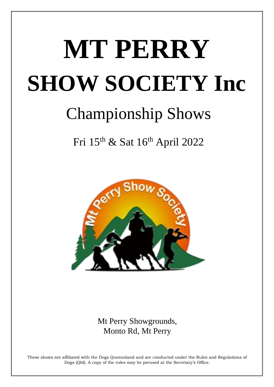# **MT PERRY SHOW SOCIETY Inc**

# **Championship Shows**

Fri 15<sup>th</sup> & Sat 16<sup>th</sup> April 2022



Mt Perry Showgrounds, Monto Rd, Mt Perry

These shows are affiliated with the Dogs Queensland and are conducted under the Rules and Regulations of Dogs (Qld). A copy of the rules may be perused at the Secretary's Office.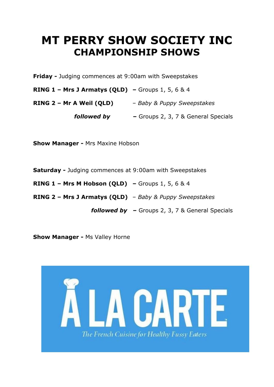# **MT PERRY SHOW SOCIETY INC CHAMPIONSHIP SHOWS**

Friday - Judging commences at 9:00am with Sweepstakes

**RING 1 - Mrs J Armatys (QLD)** - Groups 1, 5, 6 & 4

RING  $2$  – Mr A Weil (QLD) – Baby & Puppy Sweepstakes

**followed by -** Groups 2, 3, 7 & General Specials

**Show Manager - Mrs Maxine Hobson** 

Saturday - Judging commences at 9:00am with Sweepstakes

**RING 1 - Mrs M Hobson (QLD)** - Groups 1, 5, 6 & 4

RING 2 - Mrs J Armatys (QLD) - Baby & Puppy Sweepstakes

**followed by**  $-$  Groups 2, 3, 7 & General Specials

**Show Manager - Ms Valley Horne** 

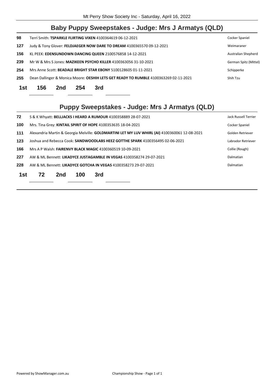# **Baby Puppy Sweepstakes - Judge: Mrs J Armatys (QLD)**

| 1st | 156                                                             | 2nd | 254 | 3rd                                                                                  |                       |
|-----|-----------------------------------------------------------------|-----|-----|--------------------------------------------------------------------------------------|-----------------------|
| 255 |                                                                 |     |     | Dean Dallinger & Monica Moore: OESHIH LETS GET READY TO RUMBLE 4100363269 02-11-2021 | Shih Tzu              |
| 254 | Mrs Anne Scott: BEADALE BRIGHT STAR EBONY 5100128605 01-11-2021 |     |     |                                                                                      | Schipperke            |
| 239 |                                                                 |     |     | Mr W & Mrs S Jones: MAZIKEEN PSYCHO KILLER 4100363056 31-10-2021                     | German Spitz (Mittel) |
| 156 |                                                                 |     |     | KL PEEK: EDENSUNDOWN DANCING QUEEN 2100576858 14-12-2021                             | Australian Shepherd   |
| 127 |                                                                 |     |     | Judy & Tony Glover: FELDJAEGER NOW DARE TO DREAM 4100365570 09-12-2021               | Weimaraner            |
| 98  |                                                                 |     |     | Terri Smith: TSPARKLE FLIRTING VIXEN 4100364619 06-12-2021                           | Cocker Spaniel        |

# Puppy Sweepstakes - Judge: Mrs J Armatys (QLD)

| 72  |    |     |     | S & K Whyatt: BELLJACKS I HEARD A RUMOUR 4100358889 28-07-2021                                | Jack Russell Terrier |
|-----|----|-----|-----|-----------------------------------------------------------------------------------------------|----------------------|
| 100 |    |     |     | Mrs. Tina Grey: KINTAIL SPIRIT OF HOPE 4100353635 18-04-2021                                  | Cocker Spaniel       |
| 111 |    |     |     | Alexandria Martin & Georgia Melville: GOLDMARTINI LET MY LUV WHIRL (AI) 4100360061 12-08-2021 | Golden Retriever     |
| 123 |    |     |     | Joshua and Rebecca Cook: SANDWOODLABS HEEZ GOTTHE SPARK 4100356495 02-06-2021                 | Labrador Retriever   |
| 166 |    |     |     | Mrs A P Walsh: FAIRENVY BLACK MAGIC 4100360519 10-09-2021                                     | Collie (Rough)       |
| 227 |    |     |     | AW & ML Bennett: LIKADYCE JUSTAGAMBLE IN VEGAS 4100358274 29-07-2021                          | Dalmatian            |
| 228 |    |     |     | AW & ML Bennett: LIKADYCE GOTCHA IN VEGAS 4100358273 29-07-2021                               | Dalmatian            |
| 1st | 72 | 2nd | 100 | 3rd                                                                                           |                      |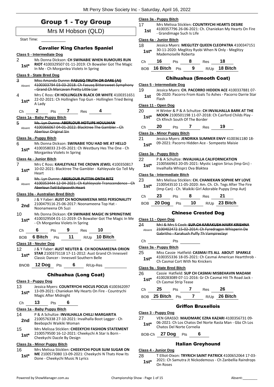# Group 1 - Toy Group

|                    | Mrs M Hobson (QLD)                                                                                       |  |  |  |  |  |
|--------------------|----------------------------------------------------------------------------------------------------------|--|--|--|--|--|
| <b>Start Time:</b> |                                                                                                          |  |  |  |  |  |
|                    | <b>Cavalier King Charles Spaniel</b>                                                                     |  |  |  |  |  |
|                    | <b>Class 5 - Intermediate Dog</b>                                                                        |  |  |  |  |  |
| 2                  | Ms Donna Dickson: CH SWINABIE WHEN RUMOURS RUN                                                           |  |  |  |  |  |
| $1st*$             | RIOT 4100329507 01-11-2019: Ch Bowalier Got The Magic                                                    |  |  |  |  |  |
|                    | In Me - Ch Morganlea Violets In Spring                                                                   |  |  |  |  |  |
|                    | <u>Class 9 - State Bred Dog</u>                                                                          |  |  |  |  |  |
| 3                  | Miss Amanda Dunne: FASUSQ TRUTH OR DARE (AI)                                                             |  |  |  |  |  |
| Absent             | 4100303794 03-03-2018: Ch Fasusq Bittersweet Symphony<br>-Grand Ch Marcavan Pretty Little Liar           |  |  |  |  |  |
| 4                  | Mrs C Ross: CH HOLLINGLEN BLACK OR WHITE 4100351651                                                      |  |  |  |  |  |
| 1st*               | 22-02-2021: Ch Hollinglen Top Gun - Hollinglen Tried Being                                               |  |  |  |  |  |
|                    | A Lady                                                                                                   |  |  |  |  |  |
| Сh                 | $\mathbf{2}$<br>4<br>$\overline{7}$<br>Pts<br>Res                                                        |  |  |  |  |  |
|                    | Class 1a - Baby Puppy Bitch                                                                              |  |  |  |  |  |
| 5                  | Ms. Lyn Dunne: ABERLOUR HOTLIPS HOULIHAN<br>4100366067 04-01-2022: Blacktree The Gambler - Ch            |  |  |  |  |  |
| Absent             | Aberlour Original Sin                                                                                    |  |  |  |  |  |
|                    | Class 3a - Puppy Bitch                                                                                   |  |  |  |  |  |
| 6                  | Ms Donna Dickson: SWINABIE YOU HAD ME AT HELLO                                                           |  |  |  |  |  |
| 1st*               | 4100358033 23-05-2021: Ch Westbury Hes The One - Ch                                                      |  |  |  |  |  |
|                    | Morganlea Violets In Spring                                                                              |  |  |  |  |  |
|                    | Class 4a - Junior Bitch                                                                                  |  |  |  |  |  |
| 7                  | Mrs C Ross: KAHLEYVALE THE CROWN JEWEL 4100350817                                                        |  |  |  |  |  |
| 1st*               | 10-02-2021: Blacktree The Gambler - Kahleyvale Go Tell My<br>Heart                                       |  |  |  |  |  |
| 8                  | Ms. Lyn Dunne: ABERLOUR PUTTIN ONTH RITZ                                                                 |  |  |  |  |  |
| Absent             | 4100353444 12-04-2021: Ch Kahleyvale Transcendence - Ch                                                  |  |  |  |  |  |
|                    | Aberlour Totl Eclipsovth Heart                                                                           |  |  |  |  |  |
|                    | Class 10a - Australian Bred Bitch                                                                        |  |  |  |  |  |
| 9                  | J & Y Faber: AUST CH NOONAMEENA MISS PERSONALITY<br>2100479116 25-06-2017: Noonameena Top Hat -          |  |  |  |  |  |
| 2nd                | Noonameena Oh Suzi                                                                                       |  |  |  |  |  |
| 10                 | Ms Donna Dickson: CH SWINABIE MAGIC IN SPRINGTIME                                                        |  |  |  |  |  |
| $1st*$             | 4100329504 01-11-2019: Ch Bowalier Got The Magic In Me<br>- Ch Morganlea Violets In Spring               |  |  |  |  |  |
|                    | 6<br>10                                                                                                  |  |  |  |  |  |
| Сh                 | $9$ Res $-$<br>Pts<br>BOB 6 Bitch Pts 11 R/Up 10 Bitch                                                   |  |  |  |  |  |
|                    |                                                                                                          |  |  |  |  |  |
| 12.                | Class 18 - Neuter Dog<br>J & Y Faber: AUST NEUTER & CH NOONAMEENA ORION                                  |  |  |  |  |  |
| $1st^*$            | <b>STAR</b> 2100373118 17-11-2012: Aust Grand Ch Innesveil                                               |  |  |  |  |  |
|                    | Classic Dancer - Innesveil Southern Belle                                                                |  |  |  |  |  |
| BNOB               | <b>12 Dog</b> Pts 6 R/Up-Res                                                                             |  |  |  |  |  |
|                    |                                                                                                          |  |  |  |  |  |
|                    | <b>Chihuahua (Long Coat)</b>                                                                             |  |  |  |  |  |
|                    | <u> Class 3 - Puppy Dog</u>                                                                              |  |  |  |  |  |
| 13                 | Jessica Myers: COUNTRYCHI HOCUS POCUS 4100362097<br>13-09-2021: Chaniekan My Hearts On Fire - Countrychi |  |  |  |  |  |
| $1st*$             | Magic After Midnight                                                                                     |  |  |  |  |  |
| Ch                 | 13<br>6<br><b>Pts</b>                                                                                    |  |  |  |  |  |
|                    | Class 1a - Baby Puppy Bitch                                                                              |  |  |  |  |  |
| 14                 | P & A Schultze: INVALHALLA CHILLI MARGARITA                                                              |  |  |  |  |  |
| 2nd                | 2100576338 27-10-2021: Invalhalla Boot Legger - Ch                                                       |  |  |  |  |  |
|                    | Beebopchi Waikiki Woman                                                                                  |  |  |  |  |  |
| 15                 | Mrs Melissa Sticklen: CHEEKYCHI FASHION STATEMENT                                                        |  |  |  |  |  |
|                    |                                                                                                          |  |  |  |  |  |
| $1st^*$            | 2100579500 16-12-2021: Cheekychi A Star Is Born -<br>Cheekychi Dazzle By Design                          |  |  |  |  |  |
|                    | Class 2a - Minor Puppy Bitch                                                                             |  |  |  |  |  |

**ME** 2100573080 13-09-2021: Cheekychi N Thats How Its 1st\* ME 2100573080 13-09-2021: Ch<br>Done - Cheekychi Music N Lyrics

# **Class 3a - Puppy Bitch**

17 Mrs Melissa Sticklen: **COUNTRYCHI HEARTS DESIRE** 4100357796 26-06-2021: Ch. Chaniekan My Hearts On Fire 1st 4100557790 20-00-2021.<br>Grandimage Such Is Life

# **Class 4a - Junior Bitch**

18 Jessica Myers: **MEGLITZY QUEEN CLEOPATRA** 4100347151 30-11-2020: Meglitzy Ryobi When N Only - Meglitzy 1st\* <sup>30-11-2020: Meglitzy R</sup><br>Mademoiselle Roberta

| Ch | 16                 | <b>Pts</b> | - 8 | Res | 18                   |
|----|--------------------|------------|-----|-----|----------------------|
|    | BOB 16 Bitch Pts 9 |            |     |     | R/Up 18 <b>Bitch</b> |

# Chihuahua (Smooth Coat)

### **Class 5 - Intermediate Dog**

- 19 Jessica Myers: **CH. PACORRO HIDDEN ACE** 4100337881 07-
- 06-2020: Pacorro From Koals To Ashes Pacorro Darrie Star Flash **1st**

# **Class 11 - Open Dog**

20 H Winter & P & A Schultze: **CH INVALHALLA BARK AT THE MOON** 2100501198 11-07-2018: Ch Cairford Childs Play - **1st\*** MUON 2100501198 11-07-201

| Ch | 20 | Pts | Res | 19 |
|----|----|-----|-----|----|
|    |    |     |     |    |

# **Class 2a - Minor Puppy Bitch**

21 Jessica Myers: **JENDRIKA SUMMER ENVY** 4100361180 18- 09-2021: Pacorro Hidden Ace - Sompeeto Maisie **1st\***

### **Class 3a - Puppy Bitch**

# 22 P & A Schultze: **INVALHALLA CALIFORNICATION**

2100566963 20-05-2021: Mystic Legion Sirius (Imp Grc) - Invalhalla Whisprz Ova Blaktea **1st\***

### **Class 5a - Intermediate Bitch**

| 23<br>$1st*$ |    |            |   |     | (Imp Can) - Ch. Waikiki Girl Adorable Puppy (Imp Aut) | Mrs Melissa Sticklen: CH. CHANIEKAN SOPHIE MY LOVE<br>2100543510 11-05-2020: Am. Ch. Ch. Tegs After The Fire |
|--------------|----|------------|---|-----|-------------------------------------------------------|--------------------------------------------------------------------------------------------------------------|
| Ch           | 23 | <b>Pts</b> | 8 | Res | 21                                                    |                                                                                                              |
|              |    |            |   |     |                                                       |                                                                                                              |

# BOB **20 Dog** Pts **10** R/Up **23 Bitch**

# Chinese Crested Dog

# **Class 11 - Open Dog**

| 24     | MrJ & Mrs S Cook: SUP.CH KARAKUSH HAIRY KRISHNA   |
|--------|---------------------------------------------------|
| Absent | 2100402472 15-02-2014: Ch Fyredragon Whisperin De |
|        | Gabritho Karakush Puffy Th Vampireslayr           |

# Ch Pts

- **Class 3a - Puppy Bitch**
- 25 Miss Cassie Hatfield: **CASMAI ITS ALL ABOUT SPARKLE**
	- 4100355336 18-05-2021: Ch Casmai American Heartthrob 1st\* 4100355336 18-05-2021: Ch Casm<br>Ch Casmai Cort With No Knickers

# **Class 9a - State Bred Bitch**

# 26 Cassie Hatfield: **SUP CH CASMAI MISBEHAVIN MADAM**

- 4100283089 07-11-2016: Gr Ch Casmai Hit Th Road Jack 1st\* 4100283089 07-11-20<br>Ch Casmai Strip Tease
- Ch **25** Pts **7** Res **26** BOB **25 Bitch** Pts **7** R/Up **26 Bitch**

# Griffon Bruxellois

### **Class 3 - Puppy Dog**

- 27 VEN GRASSO: **MAJOMARC EZRA KAZARI** 4100356731 09- 06-2021: Ch Los Chatos Del Norte Rasta Man - Gbz Ch Los 1st<sup>\*</sup> Ub-2021: Ch Los Chatos Del<br>Chatos Del Norte Cornelia
- BOB-Ch **27 Dog** Pts **6**

# Italian Greyhound

# **Class 4 - Junior Dog**

28 T Elliot-Dixon: **TRYRICH SAINT PATRICK** 4100652064 17-03- 2021: Ch Samutra Jt Nickodemous - Ch Zanbellia Raindrops 1st<sup>\*</sup> 2021: Ch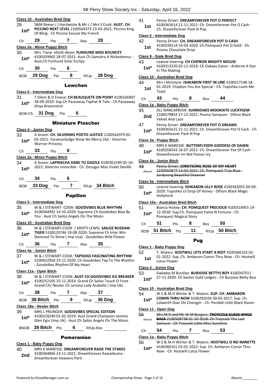Mt Derry Show Seciety Inc. Seturday, April 16, 2022

|            |                                                                                                                  |                                                           | IVIL PEITY SHOW SOCIETY THE - Saturday, April 16, 2022                                                |  |  |
|------------|------------------------------------------------------------------------------------------------------------------|-----------------------------------------------------------|-------------------------------------------------------------------------------------------------------|--|--|
|            |                                                                                                                  |                                                           |                                                                                                       |  |  |
|            | Class 10 - Australian Bred Dog                                                                                   | 41                                                        | Penny Driver: DREAMFOREVER POT O PERFECT                                                              |  |  |
| 29         | S&M Reeve / J Hardwicke & Mr J / Mrs S Cook: AUST. CH.<br>PICCINO NEXT LEVEL 2100564373 23-03-2021: Piccino King | 1st                                                       | 4100365614 21-11-2021: Ch. Dreamforever Pot O Cash -                                                  |  |  |
| $1st*$     | Of Bling - Ch Piccino Excuse My French                                                                           | Ch. Dreamforever Pash N Pop<br>Class 5 - Intermediate Dog |                                                                                                       |  |  |
| Ch         | 29<br>$\mathbf{7}$<br>28<br>Pts<br>Res                                                                           | 42                                                        | Penny Driver: CH. DREAMFOREVER POT O CASH                                                             |  |  |
|            | Class 2a - Minor Puppy Bitch                                                                                     | 1st                                                       | 4100339214 14-03-2020: Ch.Pomquest Pot O Gold - Ch.                                                   |  |  |
| 30         | Mrs. Tiana elliott-dixon: FUNHUND MISS BOUNCEY                                                                   |                                                           | Posmo Chocolate Drop                                                                                  |  |  |
| $1st*$     | 4100359962 28-07-2021: Aust Ch.Samutra Jt Nickodemus -                                                           |                                                           | Class 9 - State Bred Dog                                                                              |  |  |
|            | Aust.Ch Funhund Solar Ecclips                                                                                    | 43                                                        | Leanne lovering: CH CHIPBON MIGHTY MOUSE                                                              |  |  |
| Ch         | 30<br>6<br>Pts                                                                                                   | $1st*$                                                    | 4100313220 02-11-2018: Ch Oakees Eaton - Arderne A Star                                               |  |  |
|            |                                                                                                                  |                                                           | In The Making                                                                                         |  |  |
| <b>BOB</b> | 8<br>29 Dog<br>28 Dog<br>Pts<br>R/Up                                                                             |                                                           | Class 10 - Australian Bred Dog                                                                        |  |  |
|            | Lowchen                                                                                                          | 44                                                        | Mrs I McIntyre: ISHKABON FIRST IN LINE 4100317148 18-                                                 |  |  |
|            |                                                                                                                  | 1st                                                       | 01-2019: Chipbon You Are Special - Ch. Tupishka Lovin Me                                              |  |  |
|            | Class 5 - Intermediate Dog                                                                                       |                                                           | Toast                                                                                                 |  |  |
| 31         | T Ellem & D Freese: CH BEAUQUETE ON POINT 4100326907                                                             | Ch                                                        | 43<br>44<br>8<br>Pts<br>Res                                                                           |  |  |
| $1st*$     | 28-09-2019: Sup Ch Paceaway Tophat N Tails - Ch Paceaway<br>Onya Broomstick                                      |                                                           | Class 1a - Baby Puppy Bitch                                                                           |  |  |
|            |                                                                                                                  | 45                                                        | JILL NANCARROW: SUNNIOAKS MOOKAITE LUCKYGEM                                                           |  |  |
|            | BOB-Ch 31 Dog Pts<br>6                                                                                           | 2nd                                                       | 2100579854 27-12-2021: Posmo Sampson - Difore Black                                                   |  |  |
|            |                                                                                                                  |                                                           | <b>Velvet And Lace</b>                                                                                |  |  |
|            | <b>Miniature Pinscher</b>                                                                                        | 47                                                        | Penny Driver: DREAMFOREVER POT O DREAMS                                                               |  |  |
|            | Class 4 - Junior Dog                                                                                             | $1st*$                                                    | 4100365615 21-11-2021: Ch. Dreamforever Pot O Cash - Ch                                               |  |  |
| 33         | A Anson: CH. SILVERINO POETIC JUSTICE 2100562079 02-                                                             |                                                           | Dreamforever Pash N Pop                                                                               |  |  |
| $1st*$     | 02-2021: Yaramanlodge Show No Mercy (Ai) - Silverino                                                             |                                                           | Class 3a - Puppy Bitch                                                                                |  |  |
|            | <b>Warrior Princess</b>                                                                                          | 48                                                        | MRS K MARESSE: BUTTERFLYDEN GODDESS OF DAWN                                                           |  |  |
| Ch         | 33<br>6<br>Pts                                                                                                   | $1st^*$                                                   | 4100358543 16-07-2021: Ch. Dreamforever Pot Of Cash -<br>Dreamforever Im Not Poison Ivy               |  |  |
|            | Class 2a - Minor Puppy Bitch                                                                                     |                                                           |                                                                                                       |  |  |
| 34         | A Anson: LAPINSCHA DARE TO DAZZLE 4100361599 05-10-                                                              |                                                           | Class 4a - Junior Bitch                                                                               |  |  |
| $1st*$     | 2021: Silverino Invincible - Ch. Desugar Miss Violet Deville                                                     | 49                                                        | Penny Driver: JORDYSONG ROSE OF MY HEART<br>2100560874 14-03-2021: Ch. Pomquest True Blue-            |  |  |
|            |                                                                                                                  | Absent                                                    | Jordysong Beautiful Dreamer                                                                           |  |  |
| Ch         | 34<br>6<br>Pts                                                                                                   |                                                           | Class 5a - Intermediate Bitch                                                                         |  |  |
| <b>BOB</b> | 7<br>33 Dog<br>R/Up 34 Bitch<br>Pts                                                                              | 50                                                        | Leanne lovering: ISHKABON LILLY ROSE 4100342055 04-09-                                                |  |  |
|            |                                                                                                                  | $1st^*$                                                   | 2020: Tupishka Lil Drop Of Honey - Difiore Black Magic                                                |  |  |
|            |                                                                                                                  |                                                           |                                                                                                       |  |  |
|            | <b>Papillon</b>                                                                                                  |                                                           | Hollyhock                                                                                             |  |  |
|            |                                                                                                                  |                                                           |                                                                                                       |  |  |
|            | Class 5 - Intermediate Dog                                                                                       |                                                           | Class 10a - Australian Bred Bitch                                                                     |  |  |
| 35         | W & J STEWART- COOK: GOODVIBES BLUE RHYTHM<br>4100344992 14-10-2020: Supreme Ch Goodvibes Blue By                | 51                                                        | Bianca Hickey: CH. POMQUEST PRECIOUS 4100314955 19-<br>12-2018: Sup.Ch. Pomquest Fame N Fortune - Ch. |  |  |
| $1st*$     | You - Aust Ch Sailoz Angels On The Moon                                                                          | $1st*$                                                    | Pomquest Magical Story                                                                                |  |  |
|            | Class 10 - Australian Bred Dog                                                                                   | Ch                                                        | 51<br>50<br>8<br><b>Pts</b><br>Res                                                                    |  |  |
| 36         | W & J STEWART-COOK / KRISTY LEWIS: SAILOZ RUSSIAN                                                                |                                                           | 11                                                                                                    |  |  |
| $1st^*$    | TIGER 5100120746 19-08-2020: Supreme Ch Inter Win                                                                |                                                           | BOB 51 Bitch Pts<br>R/Up 50 Bitch                                                                     |  |  |
|            | Destined To Shine (Imp Usa) - Goodvibes Wild Flower                                                              |                                                           | <b>Pug</b>                                                                                            |  |  |
| Ch         | 35<br>36<br>Pts<br>7<br><b>Res</b>                                                                               |                                                           |                                                                                                       |  |  |
|            | Class 4a - Junior Bitch                                                                                          | 52                                                        | Class 1 - Baby Puppy Dog<br>T. Waters: HOSTWILL LETS START A RIOT 4100366163 02-                      |  |  |
| 37         | W & J STEWART-COOK: TAPDOGS FASCINATING RHYTHM                                                                   |                                                           | 01-2022: Sup. Ch. Ambaron Comin Thru Now - Ch. Hostwill                                               |  |  |
| $1st*$     | 3100422950 25-11-2020: Ch Goodvibes Tap To The Rhythm                                                            | 1st                                                       | Lotus Flower                                                                                          |  |  |
|            | - Goodvibes Rhythm Of My Heart                                                                                   |                                                           | Class 4 - Junior Dog                                                                                  |  |  |
|            | Class 11a - Open Bitch                                                                                           | 53                                                        | Gwladys M Buckley: BURJOISE BETTYS BOY 4100347011                                                     |  |  |
| 38         | W & J STEWART-COOK: AUST CH GOODVIBES ICE BREAKER                                                                | $1st*$                                                    | 27-11-2020: Ch Saxten Gold Ledgen - Ch Burjoise Betty Boo                                             |  |  |
| $1st*$     | 4100252105 25-11-2014: Grand Ch Sailoz Touch O Frost -                                                           |                                                           |                                                                                                       |  |  |
|            | Grand Ch/ Neuter Ch Jaroma Lady Arabella (Imp Uk)                                                                |                                                           | Class 10 - Australian Bred Dog                                                                        |  |  |
| Ch         | 38<br>$7^{\circ}$<br>37<br>Pts<br>Res                                                                            | 54                                                        | W.S & M.H Winter & T. Waters: SUP. CH. AMBARON                                                        |  |  |
| <b>BOB</b> | 38 Bitch Pts<br>9<br>$R/Up$ 36 Dog                                                                               | $1st^*$                                                   | COMIN THRU NOW 4100292034 30-05-2017: Sup. Ch.                                                        |  |  |
|            | Class 18a - Neuter Bitch                                                                                         |                                                           | Lolworth Dian Shi Chengjin - Ch. Pendidi Little Black Raven                                           |  |  |
| 39         | MRS L PRONGER: GOODVIBES SPECIAL EDITION                                                                         |                                                           | Class 11 - Open Dog                                                                                   |  |  |
|            | 4100318240 02-02-2019: Aust Grand Champion Jaroma                                                                | 55                                                        | Mrs M D and Ms W M Burgess: TROYCOLE GUESS WHOS                                                       |  |  |
| $1st^*$    | Glen Egin (Imp Uk) - Aust Ch Sailoz Angels On The Moon                                                           | Absent                                                    | <b>BACK 2100508738 01 10 2018: Ch Troycole The Last</b>                                               |  |  |
|            | BNOB 39 Bitch Pts<br>6<br>R/Up-Res                                                                               |                                                           | Samurai - Ch Troycole Little Miss Sunshine                                                            |  |  |
|            |                                                                                                                  | Ch                                                        | 54<br>53<br>7<br>Pts<br>Res                                                                           |  |  |

56 W.S & M.H Winter & T. Waters: **HOSTWILL O NO NANETTE** 4100366161 02-01-2022: Sup. Ch. Ambaron Comin Thru 1st<sup>\*</sup> 4100366161 02-01-2022: Sup. C<br>Now - Ch. Hostwill Lotus Flower

2nd 4100364866 23-11-2021: Dreamforever Heavens Parti

**Class 1 - Baby Puppy Dog**

40 MRS K MARESSE: **DREAMFOREVER RAISE THE STAKES**

4100364866 23-11-2021: Dreamforever Kawaiikuma -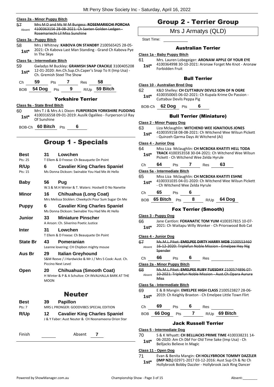|                                                                                                                                              | Class 2a - Minor Puppy Bitch                                                                                                                    |            |  |                   |                                                                                                                    |  |
|----------------------------------------------------------------------------------------------------------------------------------------------|-------------------------------------------------------------------------------------------------------------------------------------------------|------------|--|-------------------|--------------------------------------------------------------------------------------------------------------------|--|
| 57 a<br>Absent                                                                                                                               | Mrs M D and Ms W M Burgess: ROSEMARIECHI PORCHA<br>4100363156 28-08-2021: Ch Saxten Golden Ledgen -<br>Rosemariechi Lil Miss Sunshine           |            |  |                   |                                                                                                                    |  |
|                                                                                                                                              | <u> Class 3a - Puppy Bitch</u>                                                                                                                  |            |  |                   |                                                                                                                    |  |
|                                                                                                                                              | 58 —<br>Mrs J Whitney: KABOVA ON STANDBY 2100565425 28-05-<br>2021: Ch Kabova Last Man Standing - Grand Ch Kabova Pye<br>$1st^*$<br>In The Skye |            |  |                   |                                                                                                                    |  |
|                                                                                                                                              | Class 5a - Intermediate Bitch                                                                                                                   |            |  |                   |                                                                                                                    |  |
| 59 —                                                                                                                                         | Ch. Gremish Steel The Show                                                                                                                      |            |  |                   | Gwladys M Buckley: GRAMISH SNAP CRACKLE 3100405208<br>1st* 12-01-2020: Am.Ch.Sup.Ch.Caper's Snap To It (Imp Usa) - |  |
|                                                                                                                                              | Ch 59 Pts 7 Res 58                                                                                                                              |            |  |                   |                                                                                                                    |  |
|                                                                                                                                              |                                                                                                                                                 |            |  |                   | BOB 54 Dog Pts 9 R/Up 59 Bitch                                                                                     |  |
|                                                                                                                                              |                                                                                                                                                 |            |  | Yorkshire Terrier |                                                                                                                    |  |
|                                                                                                                                              | Class 9a - State Bred Bitch                                                                                                                     |            |  |                   |                                                                                                                    |  |
| Mrs T J & Mrs A L Dixon: FURPERSON YORKSHIRE PUDDING<br>4100316558 09-01-2019: Ausilk Ogalileo - Furperson Lil Ray<br>$1st^*$<br>Of Sunshine |                                                                                                                                                 |            |  |                   |                                                                                                                    |  |
|                                                                                                                                              | BOB-Ch <b>60 Bitch</b> Pts                                                                                                                      |            |  | 6                 |                                                                                                                    |  |
| <b>Group 1 - Specials</b>                                                                                                                    |                                                                                                                                                 |            |  |                   |                                                                                                                    |  |
| Ract                                                                                                                                         |                                                                                                                                                 | 21 Iowchon |  |                   |                                                                                                                    |  |

| しじごし<br>Pts: 25 | T Ellem & D Freese: Ch Beauquete On Point                                                            |
|-----------------|------------------------------------------------------------------------------------------------------|
| R/Up<br>Pts: 15 | <b>Cavalier King Charles Spaniel</b><br>6<br>Ms Donna Dickson: Swinabie You Had Me At Hello          |
| <b>Baby</b>     | 56<br>Pug<br>W.S & M.H Winter & T. Waters: Hostwill O No Nanette                                     |
| Minor           | 16<br><b>Chihuahua (Long Coat)</b><br>Mrs Melissa Sticklen: Cheekychi Pour Sum Sugar On Me           |
| <b>Puppy</b>    | <b>Cavalier King Charles Spaniel</b><br>6<br>Ms Donna Dickson: Swinabie You Had Me At Hello          |
| Junior          | 33<br><b>Miniature Pinscher</b><br>A Anson: Ch. Silverino Poetic Justice                             |
| <b>Inter</b>    | 31<br>Lowchen<br>T Ellem & D Freese: Ch Beauquete On Point                                           |
| <b>State Br</b> | 43<br>Pomeranian<br>Leanne lovering: CH Chipbon mighty mouse                                         |
| Aus Br          | 29<br><b>Italian Greyhound</b><br>S&M Reeve / J Hardwicke & Mr J / Mrs S Cook: Aust. Ch.             |
|                 | Piccino Next Level                                                                                   |
| Open            | Chihuahua (Smooth Coat)<br>20<br>H Winter & P & A Schultze: CH INVALHALLA BARK AT THE<br><b>MOON</b> |
|                 | <b>Neuter</b>                                                                                        |
| Best<br>Pts: 7  | <b>Papillon</b><br>39 -<br>MRS L PRONGER: GOODVIBES SPECIAL EDITION                                  |
| <b>R/Up</b>     | 12<br><b>Cavalier King Charles Spaniel</b><br>J & Y Faber: Aust Neuter & CH Noonameena Orion Star    |
| Finish          | Absent<br>7                                                                                          |

# Group 2 - Terrier Group

Mrs J Armatys (QLD)

Start Time:

# Australian Terrier

# **Class 1a - Baby Puppy Bitch**

- 61 Mrs. Lauren Lobegeiger: **ARONAW APPLE OF YOUR EYE**
	- 4100364998 30-10-2021: Aronaw Forget Me Knot Aronaw Forbidden Fruit **1st\***

# Bull Terrier

### **Class 10 - Australian Bred Dog**

62 K&D Shelley: **CH CUTTABUV DEVILS SON OF N OGRE** 4100350065 06-02-2021: Ch Kupala Krime Ov Passion - 1st<sup>\*</sup> 4100350065 06-02-2021:

BOB-Ch **62 Dog** Pts **6**

# Bull Terrier (Miniature)

# **Class 2 - Minor Puppy Dog**

- 63 Liza Mclaughlin: **WITCHEND WEE IGNATIOUS JONES** 4100359158 08-08-2021: Ch Witchend Wee Wilsun Pickett - Quinzeh Qarma Days At Witchend (Ai) **1st\***
	-

# **Class 4 - Junior Dog**

- 64 Miss Liza Mclaughlin: **CH MCBOXA KHATITI HELL TODA**
- **TRACK** 4100353558 30-04-2021: Ch Witchend Wee Wilsun Pickett - Ch Witchend Wee Zelda Hyrule **1st\***

|  | Ch | 64 | Pts |  | Res | 63 |  |
|--|----|----|-----|--|-----|----|--|
|--|----|----|-----|--|-----|----|--|

# **Class 5a - Intermediate Bitch**

- 65 Miss Liza Mclaughlin: **CH MCBOXA KHATITI ESHNE** 4100331035 04-01-2020: Ch Witchend Wee Wilsun Pickett - Ch Witchend Wee Zelda Hyrule **1st\***
- Ch **65** Pts **6**
- BOB **65 Bitch** Pts **8** R/Up **64 Dog**

# Fox Terrier (Smooth)

# **Class 3 - Puppy Dog**

- 66 Jane Cantlon: **FOXANATIC TOM YUM** 4100357815 10-07-
	- 2021: Ch Waitapu Willy Wonker Ch Priorswood Bob Cat **1st\***

# **Class 4 - Junior Dog**

- 67 Ms.M.L.Piket: **EMELPEE DIRTY HARRY MDB** 2100553460 16-12-2020: Triplefun Noble Mission - Emelpee Hey Nig Spender Absent
- Ch **66** Pts **6** Res

# **Class 2a - Minor Puppy Bitch**

68 Ms.M.L.Piket: **EMELPEE RUBY TUESDAY** 2100574896 07- 10-2021: Triplefun Noble Mission - Aust.Ch.Opara Aurura Miss Absent

# **Class 5a - Intermediate Bitch**

- 69 E & B Mangin: **EMELPEE HIGH CLASS** 2100523827 28-06- 2019: Ch Keighly Braxton - Ch Emelpee Little Town Flirt **1st\***
- Ch **69** Pts **6** Res

| BOB 66 Dog Pts 7 R/Up 69 Bitch |  |  |
|--------------------------------|--|--|
|                                |  |  |

# Jack Russell Terrier

**Class 5 - Intermediate Dog**

70 S & K Whyatt: **CH BELLJACKS PRIME TIME** 4100338231 14- 06-2020: Am Ch Dbf For Old Time Sake (Imp Usa) - Ch **1st**\* UD-2020: Am Ch Dur For O

# **Class 11 - Open Dog**

71 Evan & Benita Mangin: **CH HOLLYBROOK TOMMY DAZZLER (IMP NZL)** 02971-2017 03-12-2016: Aust Sup Ch & Nz Ch Hollybrook Bobby Dazzler - Hollybrook Jack Ring Dancer **1st\***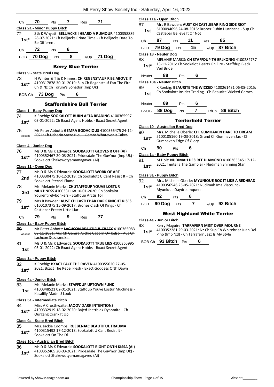|               |                                                                                                              |              | Class 11a - Open Bitch                         |     |    |                            |                                                                                                              |
|---------------|--------------------------------------------------------------------------------------------------------------|--------------|------------------------------------------------|-----|----|----------------------------|--------------------------------------------------------------------------------------------------------------|
| Ch            | 70<br>71<br>7<br>Pts<br>Res                                                                                  | 87           |                                                |     |    |                            | Mrs R Bawden: AUST CH CASTLEBAR RING SIDE RIOT                                                               |
| 72            | Class 2a - Minor Puppy Bitch<br>S & K Whyatt: BELLJACKS I HEARD A RUMOUR 4100358889                          | 1st          | Castlebar Believe It Or Not                    |     |    |                            | 6100094696 24-08-2015: Brohez Rubin Hurricane - Su                                                           |
| $1st^*$       | 28-07-2021: Ch Belljacks Prime Time - Ch Belljacks Dare To<br><b>Be Different</b>                            | Ch           | 87                                             | Pts | 11 | Res                        | 85                                                                                                           |
| Ch            | 72<br>6<br>Pts                                                                                               | <b>BOB</b>   | 79 Dog                                         | Pts | 15 |                            | R/Up 87 Bitch                                                                                                |
| <b>BOB</b>    | 8<br>70 Dog<br>$R/Up$ 71 Dog<br>Pts                                                                          |              | Class 18 - Neuter Dog                          |     |    |                            |                                                                                                              |
|               | <b>Kerry Blue Terrier</b>                                                                                    | 88<br>$1st*$ |                                                |     |    |                            | <b>MELANIE MARKS: CH STAFFDUP TH ERLKONIG 41002</b><br>13-11-2016: Ch Sookalot Hearts On Fire - Staffdup Bla |
|               | Class 9 - State Bred Dog                                                                                     |              | Veil Bride                                     |     |    |                            |                                                                                                              |
| 73            | H Winter & T & K Ninnes: CH REGENSTAUF RISE ABOVE IT                                                         | Neuter       | 88                                             | Pts | 6  |                            |                                                                                                              |
| $1st^*$       | 4100317878 30-01-2019: Sup Ch Regenstauf Fan The Fire -<br>Ch & Nz Ch Torum's Sonador (Imp Uk)               | 89           | Class 18a - Neuter Bitch                       |     |    |                            | K Roebig: BEAURITE THE WICKED 4100261431 06-08-                                                              |
|               | BOB-Ch 73 Dog Pts<br>6                                                                                       | 1st          |                                                |     |    |                            | Ch Sookalott Insider Trading - Ch Beaurite Wicked Gar                                                        |
|               | <b>Staffordshire Bull Terrier</b>                                                                            | Neuter       | 89                                             | Pts | 6  |                            |                                                                                                              |
|               | Class 1 - Baby Puppy Dog                                                                                     | BNOB         | 88 Dog                                         | Pts | 7  |                            | R/Up 89 Bitch                                                                                                |
| 74<br>$1st^*$ | K Roebig: SOOKALOTT BURN AFTA READING 4100365997<br>03-01-2022: Ch Bxact Agent Hobbs - Bxact Secret Agent    |              |                                                |     |    | <b>Tenterfield Terrier</b> |                                                                                                              |
|               |                                                                                                              |              | Class 10 - Australian Bred Dog                 |     |    |                            |                                                                                                              |
| 75            | Mr Peter Abbott: GEMRA BODACIOUS 4100366475 24 12<br>2021: Ch Usherin Sacre Bleu - Gemra Whatever It Takes   | 90           |                                                |     |    |                            | Mrs. Michelle Oberle: CH. GUMHAVEN DARE TO DRE.                                                              |
| Absent        |                                                                                                              | $1st*$       | Gumhaven Edge Of Glory                         |     |    |                            | 5100105160 19-03-2018: Grand Ch Gumhaven Jax - C                                                             |
|               | Class 4 - Junior Dog                                                                                         | Ch           | 90                                             | Pts | 6  |                            |                                                                                                              |
| 76            | Ms D & Ms K Edwards: SOOKALOTT GLOVES R OFF (AI)<br>4100352467 20-03-2021: Pridesdale The Guv'nor (Imp Uk) - |              | Class 1a - Baby Puppy Bitch                    |     |    |                            |                                                                                                              |
| $1st^*$       | Sookalott Shakewotyamamagaveu (Ai)                                                                           | 91           |                                                |     |    |                            | M Holt: NUDIMAH DESIREE DIAMOND 4100365545 1                                                                 |
|               | Class 11 - Open Dog                                                                                          | $1st*$       |                                                |     |    |                            | 2021: Tentella The Gambler - Nudimah Shinning Star                                                           |
| 77            | Ms D & Ms K Edwards: SOOKALOTT WORK OF ART                                                                   |              |                                                |     |    |                            |                                                                                                              |
| 2nd           | 4100330475 10-12-2019: Ch Sookalott U Cant Resist It - Ch<br>Sookalott Eternal Flame                         | 92           | Class 3a - Puppy Bitch                         |     |    |                            | Mrs. Michelle Oberle: MYUNIQUE ROC IT LIKE A REDI                                                            |
| 78            | Ms. Melanie Marks: CH STAFFDUP YOUVE LOSTUR                                                                  | $1st*$       |                                                |     |    |                            | 4100356546 25-05-2021: Nudimah Ima Viscount -                                                                |
| 3rd           | <b>MUCHNESS 4100331168 10-01-2020: Ch Sookalot</b>                                                           |              | Myunique Daydreamqueen                         |     |    |                            |                                                                                                              |
|               | Yourentirelybonkers - Staffdup Arctis Tor                                                                    | Ch           | 92                                             | Pts | 6  |                            |                                                                                                              |
| 79            | Mrs R Bawden: AUST CH CASTLEBAR DARK KNIGHT RISES<br>6100107375 15-09-2017: Brohez Clash Of Kings - Ch       | <b>BOB</b>   | 90 Dog                                         | Pts | 7  |                            | R/Up 92 Bitch                                                                                                |
| $1st*$        | Castlebar Preety Little Liar                                                                                 |              |                                                |     |    |                            |                                                                                                              |
| Ch            | 79<br>77<br>9<br>Pts<br>Res                                                                                  |              |                                                |     |    |                            | <b>West Highland White Terrier</b>                                                                           |
|               | Class 1a - Baby Puppy Bitch                                                                                  |              | Class 4a - Junior Bitch                        |     |    |                            |                                                                                                              |
| 80            | Mr Peter Abbott: LACHCON BEAUTIFUL CRAZY 4100365083                                                          | 93           |                                                |     |    |                            | Kerry Maguire: TARRAFERN MIST OVER MOURNE<br>4100352281 29-03-2021: Nz Ch Sup Ch Whitebriar Jua              |
| Absent        | 08 11 2021: Aus Ch Gemra Archie Caporn Ov Kelso Aus Ch                                                       | $1st*$       | Pino (Imp Nzl) - Ch Tarrafern Jazz Is My Style |     |    |                            |                                                                                                              |
|               | Lachcon Ssssssmokin<br>Ms D & Ms K Edwards: SOOKALOTT TRUE LIES 4100365995                                   |              | BOB-Ch 93 Bitch Pts                            |     | 6  |                            |                                                                                                              |
| 81            | 03-01-2022: Ch Bxact Agent Hobbs - Bxact Secret Agent                                                        |              |                                                |     |    |                            |                                                                                                              |
| 1st           |                                                                                                              |              |                                                |     |    |                            |                                                                                                              |
|               | Class 3a - Puppy Bitch                                                                                       |              |                                                |     |    |                            |                                                                                                              |
| 82            | K Roebig: BXACT FACE THE RAVEN 4100355620 27-05-                                                             |              |                                                |     |    |                            |                                                                                                              |
| $1st*$        | 2021: Bxact The Rebel Flesh - Bxact Goddess Ofth Dawn                                                        |              |                                                |     |    |                            |                                                                                                              |
|               | Class 4a - Junior Bitch                                                                                      |              |                                                |     |    |                            |                                                                                                              |
| 83            | Ms. Melanie Marks: STAFFDUP UPTOWN FUNK                                                                      |              |                                                |     |    |                            |                                                                                                              |
| 1st           | 4100348521 02-01-2021: Staffdup Youve Lostur Muchness -                                                      |              |                                                |     |    |                            |                                                                                                              |
|               | Kasalilly Made U Look                                                                                        |              |                                                |     |    |                            |                                                                                                              |
|               | Class 5a - Intermediate Bitch                                                                                |              |                                                |     |    |                            |                                                                                                              |
| 84            | Miss A Crosthwaite: <b>JAQOV DARK INTENTIONS</b><br>4100332919 18-02-2020: Bajed Jhettblak Dyanmite - Ch     |              |                                                |     |    |                            |                                                                                                              |
| $1st^*$       | Ourgang Crank It Up                                                                                          |              |                                                |     |    |                            |                                                                                                              |
|               | Class 9a - State Bred Bitch                                                                                  |              |                                                |     |    |                            |                                                                                                              |
| 85            | Mrs. Jackie Coombs: RUEBENJAC BEAUTIFUL TRAUMA                                                               |              |                                                |     |    |                            |                                                                                                              |
| $1st*$        | 4100315492 17-12-2018: Sookalott U Cant Resist It -<br>Sookalott On The DI                                   |              |                                                |     |    |                            |                                                                                                              |
|               | Class 10a - Australian Bred Bitch                                                                            |              |                                                |     |    |                            |                                                                                                              |
| 86            | Ms D & Ms K Edwards: SOOKALOTT RIGHT ONTH KISSA (AI)                                                         |              |                                                |     |    |                            |                                                                                                              |
| $1st*$        | 4100352465 20-03-2021: Pridesdale The Guv'nor (Imp Uk) -<br>Sookalott Shakewotyamamagaveu (Ai)               |              |                                                |     |    |                            |                                                                                                              |

# 094696 24-08-2015: Brohez Rubin Hurricane - Sup Ch **Castlebar Believe It Or Not**

| Ch | 87 | <b>Pts</b> | $-11$ | Res | - 85                            |
|----|----|------------|-------|-----|---------------------------------|
|    |    |            |       |     | BOB 79 Dog Pts 15 R/Up 87 Bitch |

88 MELANIE MARKS: **CH STAFFDUP TH ERLKONIG** 4100282737 -2016: Ch Sookalot Hearts On Fire - Staffdup Black ride

# Neuter **88** Pts **6**

# **Class 18a - Neuter Bitch**

big: **BEAURITE THE WICKED** 4100261431 06-08-2015: okalott Insider Trading - Ch Beaurite Wicked Games

# Tenterfield Terrier

# **Class 10 - Australian Bred Dog**

90 Mrs. Michelle Oberle: **CH. GUMHAVEN DARE TO DREAM** 5100105160 19-03-2018: Grand Ch Gumhaven Jax - Ch aven Edge Of Glory

It: **NUDIMAH DESIREE DIAMOND** 4100365545 17-12-Tentella The Gambler - Nudimah Shinning Star

# **Class 3a - Puppy Bitch**

92 Mrs. Michelle Oberle: **MYUNIQUE ROC IT LIKE A REDHEAD** 4100356546 25-05-2021: Nudimah Ima Viscount **ique Daydreamqueen** 

# **est Highland White Terrier**

# **Class 4a - Junior Bitch**

**Maguire: TARRAFERN MIST OVER MOURNE** 52281 29-03-2021: Nz Ch Sup Ch Whitebriar Juan Del Imp Nzl) - Ch Tarrafern Jazz Is My Style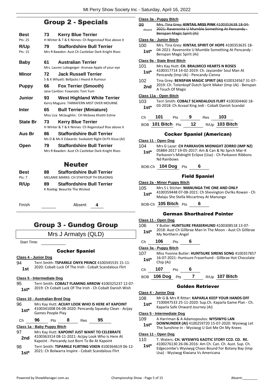# Group 2 - Specials

| <b>Best</b>     | 73  | <b>Kerry Blue Terrier</b>                                                       |
|-----------------|-----|---------------------------------------------------------------------------------|
| Pts: 25         |     | H Winter & T & K Ninnes: Ch Regenstauf Rise above it                            |
| <b>R/Up</b>     | 79  | <b>Staffordshire Bull Terrier</b>                                               |
| Pts: 15         |     | Mrs R Bawden: Aust Ch Castlebar Dark Knight Rises                               |
| Baby            | 61. | <b>Australian Terrier</b>                                                       |
|                 |     | Mrs. Lauren Lobegeiger: Aronaw Apple of your eye                                |
| Minor           | 72  | <b>Jack Russell Terrier</b>                                                     |
|                 |     | S & K Whyatt: Belljacks I Heard A Rumour                                        |
| <b>Puppy</b>    | 66  | <b>Fox Terrier (Smooth)</b>                                                     |
|                 |     | Jane Cantlon: Foxanatic Tom Yum                                                 |
| Junior          | 93  | <b>West Highland White Terrier</b><br>Kerry Maguire: TARRAFERN MIST OVER MOURNE |
| <b>Inter</b>    | 65  | <b>Bull Terrier (Miniature)</b>                                                 |
|                 |     | Miss Liza Mclaughlin: CH Mcboxa Khatiti Eshne                                   |
| <b>State Br</b> | 73  | <b>Kerry Blue Terrier</b>                                                       |
|                 |     | H Winter & T & K Ninnes: Ch Regenstauf Rise above it                            |
| Aus Br          | 86. | <b>Staffordshire Bull Terrier</b>                                               |
|                 |     | Ms D & Ms K Edwards: Sookalott Right OnTh Kissa (AI)                            |
| Open            | 79. | <b>Staffordshire Bull Terrier</b>                                               |
|                 |     | Mrs R Bawden: Aust Ch Castlebar Dark Knight Rises                               |
|                 |     | <b>Neuter</b>                                                                   |
| <b>Best</b>     | 88  | <b>Staffordshire Bull Terrier</b>                                               |
| Pts: 7          |     | MELANIE MARKS: CH STAFFDUP TH ERLKONIG                                          |
| <b>R/Up</b>     | 89  | <b>Staffordshire Bull Terrier</b>                                               |

Finish Absent

# Group 3 - Gundog Group

K Roebig: Beaurite The Wicked

Mrs J Armatys (QLD)

Start Time:

# Cocker Spaniel

- **Class 4 - Junior Dog**
- 94 Terri Smith: **TSPARKLE ONYX PRINCE** 4100345535 15-11- 1st 2020: Cobalt Luck Of The Irish - Cobalt Scandalous Flirt
	-

# **Class 5 - Intermediate Dog**

95 Terri Smith: **COBALT FLAMING ARROW** 4100325237 12-07- 2019: Ch Cobalt Luck Of The Irish - Ch Cobalt Danish Wish **1st\***

# **Class 10 - Australian Bred Dog**

- 96 Mrs Kay Hutt: **ACIJAY LOOK WHO IS HERE AT KAPOINT** 4100341008 04-08-2020: Pencandy Squeaky Clean - Acijay 1st<sup>\*</sup> 4100341008 04-08-<br>Games People Play
- Ch **96** Pts **8** Res **95**

# **Class 1a - Baby Puppy Bitch**

- 97 Mrs Kay Hutt: **KAPOINT JUST WANT TO CELEBRATE** 4100363314 08-11-2021: Acijay Look Who Is Here At Kapoint - Pencandy Just Born To Be At Kapoint **2nd**
- 98 Terri Smith: **TSPARKLE FLIRTING VIXEN** 4100364619 06-12- 1st\* 2021: Ch Bolwarra Inspire - Cobalt Scandalous Flirt

## **Class 3a - Puppy Bitch**

99 Mrs. Tina Grey: **KINTAIL MISS PINK** 4100353638 18-04- 2021: Ravensnite U Mumble Something At Pencandy - Benspan Magic Spirit (Ai) Absent

# **Class 4a - Junior Bitch**

100 Mrs. Tina Grey: **KINTAIL SPIRIT OF HOPE** 4100353635 18- 04-2021: Ravensnite U Mumble Something At Pencandy - **1st**\* D<sub>4</sub>-2021. Ravensmite O M<br>Benspan Magic Spirit (Ai)

# **Class 9a - State Bred Bitch**

- 101 Mrs Kay Hutt: **CH. BRALMICO HEARTS N ROSES** 4100317714 14-02-2019: Ch. Jayzander Soul Man At **1st** 4100317714 14-02-2019: Ch. Jayzande<br>Pencandy (Imp Uk) - Pencandy Cienna
- 102 Tina Grey: **BENSPAN MAGIC SPIRIT (AI)** 4100324567 31-07- 2019: Ch. Totenkopf Dutch Spirit Maker (Imp Uk) - Benspan **2nd** <sup>2019</sup>: Cn. Totenko

# **Class 11a - Open Bitch**

- 103 Terri Smith: **COBALT SCANDALOUS FLIRT** 4100304460 18-
- 03-2018: Ch Acvaal King Jedi Cobalt Danish Scandal **1st\***

| ი1 | $\ddot{\circ}$ | - 7 | - ہ⊿∘ | 103 |
|----|----------------|-----|-------|-----|
|    |                |     |       |     |

|  | BOB 101 Bitch Pts | 12 | $R/Up$ 103 Bitch |
|--|-------------------|----|------------------|
|  |                   |    |                  |

# Cocker Spaniel (American)

# **Class 11 - Open Dog**

- 104 Mrs G Lazar: **CH PARKAVON MIDNIGHT ZORRO (IMP NZ)**
	- 05884-2017 19-05-2017: Am & Can & Nz Sprch Mar-K Parkavon's Midnight Eclipse (Usa) - Ch Parkavon Ribbons Nd Rainbows **1st\***
- BOB-Ch **104 Dog** Pts **6**

# Field Spaniel

- **Class 2a - Minor Puppy Bitch**
	- 105 Mrs S L Sticher: **MANUNGA THE ONE AND ONLY**
	- 4100359448 07-08-2021: Ch Shevington Ovrlks Rowan Ch Malaju She Stella Mccartney At Manunga **1st\***
	- BOB-Ch **105 Bitch** Pts **6**

# German Shorthaired Pointer

# **Class 11 - Open Dog**

- 106 Y Butler: **HUNTSURE FRASERHUND** 4100308518 13-07- 2018: Aust Ch Gillbrae Man In The Moon - Aust Ch Gillbrae My Northern Angel **1st\***
- Ch **106** Pts **6**

# **Class 3a - Puppy Bitch**

107 Miss Yvonne Butler: **HUNTSURE SIRENS SONG** 4100357857 16-07-2021: Huntsure Fraserhund - Gillbrae Hot Chocolate **1st**\*  $\frac{16-07-20}{\text{Chip (Ai)}}$ 

# Ch **107** Pts **6**

BOB **106 Dog** Pts **7** R/Up **107 Bitch**

# Golden Retriever

# **Class 4 - Junior Dog**

- 108 Mr G & Mrs R Ritter: **KAPARLA KEEP YOUR HANDS OFF**
- 7100047533 25-11-2020: Sup.Ch. Kaparla Game Plan Ch. **1st\*** /10004/533 25-11-2020: Sup.Cn.<br>Kaparla Safe Onward Journey (Ai)

# **Class 5 - Intermediate Dog**

- 109 A Harriman & A Adamopoulos: **WYSIWYG LAN** 
	- **DOWNUNDER (AI)** 4100259720 15-07-2020: Wysiwyg Let
	- **1st\*** DOWNUNDER (AI) 4100259720 15-07-2020: wysiv<br>The Sunshine In Wysiwyg U Got Me On My Knees

# **Class 11 - Open Dog**

- 110 T. Waters: **CH. WYSIWYG KAOTIC STORY CCD. CD. RE.**
	- 4100276130 26-06-2016: Am Ch. Can. Ch. Aust. Sup. Ch. Edgecombe's Wysiwyg Chaos Bound For Botany Bay (Imp Usa) - Wysiwyg Kiwiana Vs Americana **1st\***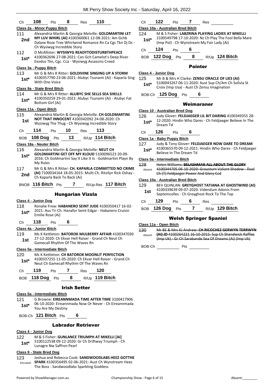| Ch            | 108                           | 8<br>Pts                                | Res                     | 110                                                                                                                |
|---------------|-------------------------------|-----------------------------------------|-------------------------|--------------------------------------------------------------------------------------------------------------------|
|               | Class 2a - Minor Puppy Bitch  |                                         |                         |                                                                                                                    |
| 111           |                               |                                         |                         | Alexandria Martin & Georgia Melville: GOLDMARTINI LET                                                              |
| 2nd           |                               | Ch Wysiwyg Incredible Story             |                         | MY LUV WHIRL (AI) 4100360061 12-08-2021: Am Gchb<br>Dalane Rose Tree Whirlwind Romance Rn Ca Cgc Tkn Dj Ds -       |
| 112           |                               |                                         |                         | D McAllister: WYSIWYG READYTODISTURBTHPEACE                                                                        |
| $1st*$        |                               |                                         |                         | 4100362696 27-08-2021: Can Gch Camelot's Deep River<br>Exodus Tkn, Cgc. Cca - Wysiwyg Assassins Creed              |
|               | Class 3a - Puppy Bitch        |                                         |                         |                                                                                                                    |
| 113           |                               |                                         |                         | Mr G & Mrs R Ritter: GOLDIVINE SINGING UP A STORM<br>4100357790 23-06-2021: Alubyc Tsunami (Ai) - Kaparla Sing     |
| $1st^*$       | With One Voice                |                                         |                         |                                                                                                                    |
|               | Class 9a - State Bred Bitch   |                                         |                         |                                                                                                                    |
| 114           |                               |                                         |                         | Mr G & Mrs R Ritter: ALUBYC SHE SELLS SEA SHELLS                                                                   |
| $1st*$        | Bottom Girl (Ai)              |                                         |                         | 4100350259 29-01-2021: Alubyc Tsunami (Ai) - Alubyc Fat                                                            |
|               | Class 11a - Open Bitch        |                                         |                         |                                                                                                                    |
| 115           |                               |                                         |                         | Alexandria Martin & Georgia Melville: CH GOLDMARTINI<br>NOT THAT INNOCENT 4100342092 24-08-2020: Ch                |
| 1st           |                               |                                         |                         | Wysiwyg The Thug - Ch Wysiwyg Incredible Story                                                                     |
| Ch            | 114                           | 10<br>Pts                               | <b>Res</b>              | - 113                                                                                                              |
| BOB.          | 108 Dog Pts                   |                                         | 13                      | R/Up 114 Bitch                                                                                                     |
|               | Class 18a - Neuter Bitch      |                                         |                         |                                                                                                                    |
| 116           |                               |                                         |                         | Alexandria Martin & Georgia Melville: NEUT CH<br><b>GOLDMARTINI GET OFF MY KLOUD 5100096523 20-09-</b>             |
| 1st*          | My Rules                      |                                         |                         | 2016: Ch Goldmartini Say It Like It Is - Goldmartini Playn By                                                      |
| 117<br>2nd    |                               | Ch Kaparla Back To Back (Ai)            |                         | Mr G & Mrs R Ritter: CH. KAPARLA COMMITTED NO CRIME<br>(AI) 7100034164 18-05-2015: Multi Ch. Ritzilyn Rick Oshay - |
|               | BNOB 116 Bitch Pts            |                                         | 7                       | R/Up-Res 117 Bitch                                                                                                 |
|               |                               |                                         | <b>Hungarian Vizsla</b> |                                                                                                                    |
|               | <b>Class 4 - Junior Dog</b>   |                                         |                         |                                                                                                                    |
| 118<br>$1st*$ | Emilie Rose (Ai)              |                                         |                         | Ronalie Frew: HABANERO SEINT JUDE 4100350417 16-02-<br>2021: Aus Tri Ch. Hanafor Seint Edgar - Habanero Cruisin    |
|               |                               | Ch 118 Pts 6                            |                         |                                                                                                                    |
|               | Class 4a - Junior Bitch       |                                         |                         |                                                                                                                    |
| 119           |                               |                                         |                         | Ms K Kettleton: BATOROK MULBERRY AFFAIR 4100347030                                                                 |
| 1st.          |                               | Gamecall Rhythm Of The Waves Rn         |                         | 27-12-2020: Ch Ekvar Hell Raiser - Grand Ch Neut Ch                                                                |
|               | Class 5a - Intermediate Bitch |                                         |                         |                                                                                                                    |
| 120 —         |                               |                                         |                         | Ms K Kettleton: CH BATOROK MOONLIT PERFECTION<br>4100337255 11-05-2020: Ch Ekvar Hell Raiser - Grand Ch            |
| $1st^*$       |                               | Neut Ch Gamecall Rhythm Of The Waves Rn |                         |                                                                                                                    |
|               |                               | Ch 119 Pts 7 Res 120                    |                         |                                                                                                                    |
|               |                               |                                         |                         | BOB 118 Dog Pts 8 R/Up 119 Bitch                                                                                   |
|               |                               |                                         | <b>Irish Setter</b>     |                                                                                                                    |
|               |                               |                                         |                         |                                                                                                                    |
|               | Class 5a - Intermediate Bitch |                                         |                         | 121 G Browne: FIREANNMADA TIME AFTER TIME 3100417906                                                               |

TIME AFTER TIM 06-10-2020: Eireannmada Now Or Never - Ch Eireannmada 1st<sup>\*</sup> Ub-10-2020: Elreann<br>You Are My Destiny

BOB-Ch **121 Bitch** Pts **6**

# Labrador Retriever

# **Class 4 - Junior Dog**

- 122 M & S Fisher: **GUNLANCE TRIUMPH AT MIKELLI [AI]**
- 5100122538 09-12-2020: Gr Ch Driftway Triumph Ch Lunagre Nw Saffron Pearl **1st\***

# **Class 9 - State Bred Dog**

123 Joshua and Rebecca Cook: **SANDWOODLABS HEEZ GOTTHE SPARK** 4100356495 02-06-2021: Aust Ch Wynstream Heez The Boss - Sandwoodlabs Sparkling Goddess Excused

Ch **122** Pts **7** Res

# **Class 10a - Australian Bred Bitch**

- 124 M & S Fisher: **LABZRINA PLAYING LADIES AT MIKELLI** 2100549798 17-10-2020: Nz Ch Play The Fool Bella Mare (Imp Pol) - Ch Wynstream My Fair Lady (Ai) **1st\***
- Ch **124** Pts **6**

BOB **122 Dog** Pts **8** R/Up **124 Bitch**

# Pointer

# **Class 4 - Junior Dog**

- 125 Mr B & Mrs H Clarke: **ZENSU ORACLE OF LIES (AI)** 5100043267 06-11-2020: Aust Sup Ch/Am Ch Solivia St **1st**\* 5100043267 06-11-2020: Aust Sup Ch/Am Correct Croix (Imp Usa) - Aust Ch Zensu Imagination
- BOB-Ch **125 Dog** Pts **6**

# Weimaraner

- **Class 10 - Australian Bred Dog**
- 126 Judy Glover: **FELDJAEGER LIL BIT DARING** 4100349355 28- 12-2020: Hindin Who Dares - Ch Feldjaeger Believe In The 1st<sup>\*</sup> <sup>12-2020: 1</sup><br>Dream Td
- Ch **126** Pts **6**

# **Class 1a - Baby Puppy Bitch**

# 127 Judy & Tony Glover: **FELDJAEGER NOW DARE TO DREAM**

4100365570 09-12-2021: Hindin Who Dares - Ch Feldjaeger Believe In The Dream Td **1st\***

# **Class 5a - Intermediate Bitch**

| 128    | Helen Williams: BELASHMAR ALL ABOUT THE GLORY        |  |
|--------|------------------------------------------------------|--|
| Absent | 4100344705 06 10 2020: Grausturn Valiant Shadow Dual |  |
|        | Ch (T) Feldjaeger Power And Glory Ccd                |  |

# **Class 10a - Australian Bred Bitch**

| 129<br>1st |         |            |   |     | BEV QUINLAN: GREYGHOST TATIANA AT GHOSTWIND (AI)<br>4100339639 09-07-2020: Videndum Adonis From<br>Septemcolles - Ch Greyghost Rock To The Top |
|------------|---------|------------|---|-----|------------------------------------------------------------------------------------------------------------------------------------------------|
| Ch.        | 129     | <b>Pts</b> | 6 | Res |                                                                                                                                                |
| <b>BOB</b> | 126 Dog | <b>Pts</b> |   |     | $R/Up$ 129 Bitch                                                                                                                               |

# Welsh Springer Spaniel

# **Class 11a - Open Bitch**

130 Mr BE & Mrs KJ Andrew: **CH RICOCHEZ GERWYN TERRWYN (AI) JD** 4100264221 16-10-2015: Sup Ch Shandwick Raffles (Imp Uk) - Gr Ch Sarabande Sea Of Dreams (Ai) (Imp Uk) Absent

BOB-Ch Pts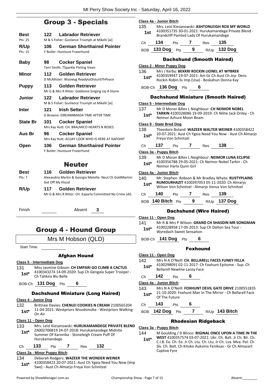# Group 3 - Specials

| Best            | 122  | <b>Labrador Retriever</b>                                                     |
|-----------------|------|-------------------------------------------------------------------------------|
| Pts: 25         |      | M & S Fisher: Gunlance Triumph at Mikelli [ai]                                |
| R/Up            | 106  | <b>German Shorthaired Pointer</b>                                             |
| Pts: 15         |      | Y Butler: Huntsure Fraserhund                                                 |
| <b>Baby</b>     | 98   | <b>Cocker Spaniel</b>                                                         |
|                 |      | Terri Smith: TSparkle Flirting Vixen                                          |
| Minor           | 112  | Golden Retriever                                                              |
|                 |      | D McAllister: Wysiwyg ReadytoDisturbThPeace                                   |
| <b>Puppy</b>    | 113. | <b>Golden Retriever</b>                                                       |
|                 |      | Mr G & Mrs R Ritter: Goldivine Singing Up A Storm                             |
| Junior          | 122  | Labrador Retriever                                                            |
|                 |      | M & S Fisher: Gunlance Triumph at Mikelli [ai]                                |
| <b>Inter</b>    | 121  | <b>Irish Setter</b>                                                           |
|                 |      | <b>G Browne: EIREANNMADA TIME AFTER TIME</b>                                  |
| <b>State Br</b> | 101  | <b>Cocker Spaniel</b>                                                         |
|                 |      | Mrs Kay Hutt: CH. BRALMICO HEARTS N ROSES                                     |
| Aus Br          | 96   | <b>Cocker Spaniel</b>                                                         |
|                 |      | Mrs Kay Hutt: ACIJAY LOOK WHO IS HERE AT KAPOINT                              |
| Open            | 106  | <b>German Shorthaired Pointer</b><br>Y Butler: Huntsure Fraserhund            |
|                 |      | <b>Neuter</b>                                                                 |
| Best            | 116  | Golden Retriever                                                              |
| Pts: 7          |      | Alexandria Martin & Georgia Melville: Neut Ch GoldMartini<br>Get Off My Kloud |
| R/Up            | 117  | Golden Retriever                                                              |

Finish Absent **3**

Mr G & Mrs R Ritter: CH. Kaparla Committed No Crime (AI)

# Group 4 - Hound Group

# Mrs M Hobson (QLD)

Start Time:

# Afghan Hound

# **Class 5 - Intermediate Dog**

131 Miss Jasmine Gibson: **CH EMPARI GO CLIMB A CACTUS** 4100343274 14-09-2020: Sup Ch Gengala Super Trooper - 1st<sup>\*</sup> 4100343274 14-09-4<br>Ch Tahkira Blu Belle

BOB-Ch **131 Dog** Pts **6**

# Dachshund Miniature (Long Haired)

# **Class 4 - Junior Dog**

- 132 Brittnee Davies: **CHENLEI COOKIES N CREAM** 2100565204
- 11-04-2021: Westpriors Woodsmoke Westpriors Walking **1st**  $\frac{11-04}{0n \text{ Air}}$

# **Class 11 - Open Dog**

| 133    | Mrs. Leisl Kiesanowski: HURUKAMANDEGE PRIVATE BLEND<br>ZA002706B19 24-07-2018: Hurukamandege Midnite |
|--------|------------------------------------------------------------------------------------------------------|
| $1st*$ | Summer Of Karonika - Stoneleigh Cream Puff Of<br>Hurukamandege                                       |
|        |                                                                                                      |

# Ch **133** Pts **7** Res **132 Class 2a - Minor Puppy Bitch**

|        | <b>UIGSS ZG - INITIOL LADDY DILUIT</b>                 |
|--------|--------------------------------------------------------|
| 134    | Deborah Rodgers: WAZEER THE WONDER WEINER              |
| $1st*$ | 4100358423 20-07-2021: Aust Ch Ygeia Need You Now (Imp |
|        | Swe) - Aust Ch Almarjo Freya Von Schnitzel             |

**Class 4a - Junior Bitch** 135 Mrs. Leisl Kiesanowski: **ASHTONLEIGH ROX MY WORLD** 4100351735 30-01-2021: Hurukamandege Private Blend - **1st** 4100351735 30-01-2021: Hurukamandege<br>Brandcliff Painted Lady Of Hurukamandege Ch **134** Pts **7** Res **135** BOB **133 Dog** Pts **9** R/Up **132 Dog** Dachshund (Smooth Haired) **Class 2 - Minor Puppy Dog** 136 Mrs J Kerby: **BEKKRI ROCKIN LIONEL AT WYBREK** 4100359947 19-07-2021: Am Gr Ch Aust Ch Joy- Dens Rockin Robin.Ss Imp (Usa) - Boskahun Donna Kay **1st\***

BOB-Ch **136 Dog** Pts **6**

# Dachshund Miniature (Smooth Haired)

# **Class 5 - Intermediate Dog**

137 Mr D Moran &Rev L Neighbour: **CH NEIMOR NOBEL TARKIN** 4100328086 19-09-2019: Ch Nilite Jack Oriley - Ch 1st\* **IARKIN** 4100328086 19-09-2<br>Neimor Azhure Moon Beam

# **Class 9 - State Bred Dog**

138 Theodore Boland: **WAZEER WALTER WEINER** 4100358422 20-07-2021: Aust Ch Ygeia Need You Now - Aust Ch Almarjo Freya Von Schnitzel **1st\***

| Ch | 137 | Pts |  | Res | 138 |  |
|----|-----|-----|--|-----|-----|--|
|----|-----|-----|--|-----|-----|--|

### **Class 3a - Puppy Bitch**

139 Mr D Moran &Rev L Neighbour: **NEIMOR LUNA ECLIPSE** 4100356788 29-05-2021: Ch Neimor Nobel Tarkin - Ch Neimor Harla Qunn Girl **1st\***

# **Class 4a - Junior Bitch**

| 140<br>$1st*$ |                       |            |   |     | Mr. Stephen Robson & Mr Bradley Whyte: RUSTYPLAINS<br>RUMOURHAZIT 4100347053 05-11-2020: Ch Almario<br>Wilson Von Schnitzel - Almarjo Venus Von Schnitzel |  |
|---------------|-----------------------|------------|---|-----|-----------------------------------------------------------------------------------------------------------------------------------------------------------|--|
| Ch            | 140                   | <b>Pts</b> |   | Res | 139                                                                                                                                                       |  |
|               | $ROB$ 140 Bitch $Pts$ |            | 9 |     | $R/Up$ 137 Dog                                                                                                                                            |  |

# Dachshund (Wire Haired)

### **Class 11 - Open Dog**

- 141 Mr R & Mrs P Wilson: **GRAND CH SHASDIN MR SONGMAN** 4100228958 17-05-2013: Sup Ch Dalton Sea Tour - Wyredach Sweet Sensation **1st\***
- BOB-Ch **141 Dog** Pts **6**
- **Class 11 - Open Dog**
- 142 Mrs N A O'Neill: **CH. BELLARELL FACES FUNKY FELLA**
- 4100298091 02-11-2017: Ch Foxhunt Epitome Sup. Ch 1st\* 4100298091 02-11-2017: Ch<br>Bellarell Newline Lacey Face

# Ch **142** Pts **6**

# **Class 4a - Junior Bitch**

- 143 Mrs N A O'Neill: **FOXHUNT DEVIL GATE DRIVE** 2100551835 21-10-2020: Foxhunt Man In The Mirror - Ch Bellarell Face **1st**\* 21-10-2020: Fig. **1st**\* Of The Future
- Ch **143** Pts **6**
- BOB **142 Dog** Pts **7** R/Up **143 Bitch**

# Rhodesian Ridgeback

# **Class 3a - Puppy Bitch**

- 144 M Goulding / D Blinco: **RIGINAL ONCE UPON A TIME IN THE** 
	- **WEST** 4100357574 03-07-2021: Ukr. Ch. Balt. Jr Ch. Blr. Ch. C.I.B. Ee. Ch. Ee. Jr Ch. Ltu. Ch. Ltu. Jr Ch. Lva. Mva. Pol. Ch Slv. Ch. Balt. Ch Kitoko Auksinis Feniksas - Gr Ch Almazart Captive Fyre **1st\***
- Foxhound
- 
- 
-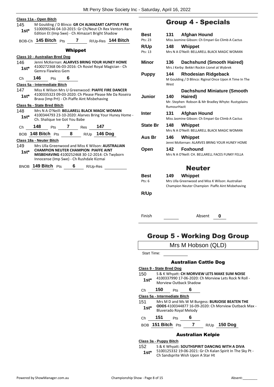| 145<br>$1$ st $^*$ | Class 11a - Open Bitch         |                    |                               | M Goulding / D Blinco: GR CH ALMAZART CAPTIVE FYRE<br>Edition Et (Imp Swe) - Ch Almazart Bright Shadow                                                                                           | 5100090246 04-10-2015: Gr Ch/Neut Ch Rex Ventors Rare<br><b>Bes</b> |
|--------------------|--------------------------------|--------------------|-------------------------------|--------------------------------------------------------------------------------------------------------------------------------------------------------------------------------------------------|---------------------------------------------------------------------|
|                    |                                |                    |                               |                                                                                                                                                                                                  | Pts: 2<br>BOB-Ch 145 Bitch Pts 7 R/Up-Res 144 Bitch                 |
|                    |                                |                    | <b>Whippet</b>                |                                                                                                                                                                                                  | R/U<br>Pts: 1                                                       |
|                    | Class 10 - Australian Bred Dog |                    |                               |                                                                                                                                                                                                  |                                                                     |
| 146<br>1st*        |                                | Gemra Flawless Gem |                               | Jenni McKernan: ALARVES BRING YOUR HUNEY HOME<br>4100272368 06-03-2016: Ch Rosiel Royal Magician - Ch                                                                                            | Min<br>Pur                                                          |
|                    | Ch 146 Pts 6                   |                    |                               |                                                                                                                                                                                                  |                                                                     |
|                    | Class 5a - Intermediate Bitch  |                    |                               |                                                                                                                                                                                                  |                                                                     |
| 147<br>$1st^*$     |                                |                    |                               | Miss K Wilson Mrs U Greenwood: PIAFFE FIRE DANCER<br>Brava (Imp Prt) - Ch Piaffe Aint Misbehaving                                                                                                | 4100335323 09-03-2020: Ch Please Please Me Da Roseira<br>Jun        |
|                    | Class 9a - State Bred Bitch    |                    |                               |                                                                                                                                                                                                  |                                                                     |
| 148<br>1st*        |                                |                    | Ch. Shalique Ive Got You Babe | Mrs N A O'Neill: BELLARELL BLACK MAGIC WOMAN                                                                                                                                                     | Inte<br>4100344793 23-10-2020: Alarves Bring Your Huney Home -      |
|                    |                                |                    |                               | Ch 148 Pts 7 Res 147                                                                                                                                                                             | Sta                                                                 |
|                    |                                |                    |                               | BOB 148 Bitch Pts 8 R/Up 146 Dog                                                                                                                                                                 |                                                                     |
|                    | Class 18a - Neuter Bitch       |                    |                               |                                                                                                                                                                                                  | Aus                                                                 |
| 1st*               |                                |                    |                               | 149 Mrs Ulla Greenwood and Miss K Wilson: AUSTRALIAN<br><b>CHAMPION NEUTER CHAMPION PIAFFE AINT</b><br>MISBEHAVING 4100252468 30-12-2014: Ch Twyborn<br>Innocense (Imp Swe) - Ch Rushdale Kizmai | Opo                                                                 |
|                    |                                |                    |                               | BNOB 149 Bitch Pts 6 R/Up-Res                                                                                                                                                                    | <b>Bes</b>                                                          |
|                    |                                |                    |                               |                                                                                                                                                                                                  | Pts: 6                                                              |

# Group 4 - Specials

| Best            | 131                | Afghan Hound                                                                                                    |
|-----------------|--------------------|-----------------------------------------------------------------------------------------------------------------|
| Pts: 23         |                    | Miss Jasmine Gibson: Ch Empari Go Climb A Cactus                                                                |
| R/Up<br>Pts: 13 | 148                | Whippet<br>Mrs N A O'Neill: BELLARELL BLACK MAGIC WOMAN                                                         |
| Minor           | 136                | Dachshund (Smooth Haired)<br>Mrs J Kerby: Bekkri Rockin Lionel at Wybrek                                        |
| <b>Puppy</b>    | 144<br>West        | <b>Rhodesian Ridgeback</b><br>M Goulding / D Blinco: Riginal Once Upon A Time In The                            |
| Junior          | 140<br>RumourHazit | Dachshund Miniature (Smooth<br>Haired)<br>Mr. Stephen Robson & Mr Bradley Whyte: Rustyplains                    |
| Inter           | 131                | <b>Afghan Hound</b><br>Miss Jasmine Gibson: Ch Empari Go Climb A Cactus                                         |
| <b>State Br</b> | 148                | Whippet<br>Mrs N A O'Neill: BELLARELL BLACK MAGIC WOMAN                                                         |
| Aus Br          | 146                | Whippet<br>Jenni McKernan: ALARVES BRING YOUR HUNEY HOME                                                        |
| Open            |                    | 142 Foxhound<br>Mrs N A O'Neill: CH. BELLARELL FACES FUNKY FELLA                                                |
|                 |                    | <b>Neuter</b>                                                                                                   |
| Best<br>Pts: 6  | 149                | Whippet<br>Mrs Ulla Greenwood and Miss K Wilson: Australian<br>Champion Neuter Champion Piaffe Aint Misbehaving |
| <b>R/Up</b>     |                    |                                                                                                                 |

Finish Absent **0**

# Group 5 - Working Dog Group

Mrs M Hobson (QLD)

Start Time:

# Australian Cattle Dog

# **Class 9 - State Bred Dog** 150 S & K Whyatt: **CH MORVIEW LETS MAKE SUM NOISE** 4100337990 17-06-2020: Ch Morview Lets Rock N Roll - 1st<sup>\*</sup> 4100337990 17-06-2020: 0<br>Morview Outback Shadow Ch **150** Pts **6 Class 5a - Intermediate Bitch** 151 Mrs M D and Ms W M Burgess: **BURJOISE BEATEN THE**

**ODDS** 4100344877 16-09-2020: Ch Morview Outback Max - Bluverado Royal Melody **1st\***

Ch **151** Pts **6**

BOB **151 Bitch** Pts **7** R/Up **150 Dog**

# Australian Kelpie

# **Class 3a - Puppy Bitch**

152 S & K Whyatt: **SOUTHSPIRIT DANCING WITH A DIVA**

5100125332 19-06-2021: Gr Ch Kalan Spirit In The Sky Pt - 1st\* 5100125332 19-06-2021: Gr Ch Kala<br>Ch Sandsprite Wish Upon A Star Ht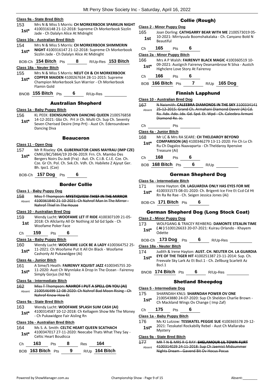# **Class 9a - State Bred Bitch**

153 Mrs N & Miss S Morris: **CH MORKERBOOK SPARKLIN NIGHT** 4100316148 21-12-2018: Supreme Ch Morkerbook Sizzlin Jade - Ch Dalalyn Alice At Midnight **1st\***

### **Class 10a - Australian Bred Bitch**

- 154 Mrs N & Miss S Morris: **CH MORKERBOOK SHIMMERIN NIGHT** 4100316147 21-12-2018: Supreme Ch Morkerbook Sizzlin Jade - Ch Dalalyn Alice At Midnight **1st\***
- BOB-Ch **154 Bitch** Pts **8** R/Up-Res **153 Bitch**

### **Class 18a - Neuter Bitch**

- 155 Mrs N & Miss S Morris: **NEUT CH & CH MORKERBOOK COPPER MAIDEN** 4100267634 28-11-2015: Supreme Champion Morkerbook Sun Warrior - Ch Morkerbook **1st\***
- Flamin Gold

BNOB **155 Bitch** Pts **6** R/Up-Res

# Australian Shepherd

# **Class 1a - Baby Puppy Bitch**

- 156 KL PEEK: **EDENSUNDOWN DANCING QUEEN** 2100576858 14-12-2021: Gbz Ch. Prt Jr Ch. Multi Ch. Sup Ch. Seventy Seven Cherised Desire (Imp Prt) - Aust Ch. Edensundown **1st\***
- Dancing Diva

# Beauceron

- **Class 11 - Open Dog**
- 157 Mr R Riseley: **CH. GUBERNATOR CANIS MAYRAU (IMP CZE)** CMKU/BC/5864/19 20-06-2019: Frn. Ch. Mambo Des Bergers Noirs Du Jedi (Fra) - Aut. Ch. C.I.B. C.I.E. Cze. Ch. Cze. Gr Ch. Pol. Ch. Svk.Ch. Vdh. Ch. Habilete Z Ajysyt Ger. Bh. Ipo1. (Cze) **1st\***

BOB-Ch **157 Dog** Pts **6**

# Border Collie

# **Class 1 - Baby Puppy Dog**

158 Miss T Thompson: **MYSTIQVIEW THIEF IN THE MIRROR** 4100361840 21-10-2021: Ch Nahrof Man In The Mirror - Nahrof Thief In The House Absent

# **Class 10 - Australian Bred Dog**

159 Wendy Lucht: **WOOFAME LET IT RIDE** 4100307109 21-05- 2018: Ch Allclarity All Or Nothing Jd Sd Gd Spdx - Ch **1st** <sup>2018: Ch Allclarity All<br>Woofame Poker Face</sup>

# Ch **159** Pts **6**

### **Class 1a - Baby Puppy Bitch**

160 Wendy Lucht: **WOOFAME LUCK BE A LADY** 4100364752 25- 11-2021: Ch Woofame Put It All On Black - Woofame **1st**\* II-2021: Ch woordme Put it<br>Cashonly At Pukawidgee (Ai)

# **Class 4a - Junior Bitch**

161 A Sime/S Heath: **FAIRENVY XQUISIT JAZZ** 4100345755 20- 11-2020: Aust Ch Wynnlake A Drop In The Ocean - Fairenvy **1st** 11-2020: Aust Ch Wyr<br>Simply Gorjus (Iid Nz)

### **Class 5a - Intermediate Bitch**

162 Miss T Thompson: **NAHROF I PUT A SPELL ON YOU (AI)** 2100546499 12-08-2020: Ch Nahrof Bad Moon Rising - Ch Nahrof Know How Et Absent

### **Class 9a - State Bred Bitch**

- 163 Wendy Lucht: **WOOFAME SPLASH SUM CASH (AI)**
	- 4100314587 10-12-2018: Ch Kellagem Show Me The Money 1st\* 4100314587 10-12-2018: Ch Realt Ch Pukawidgee Fair Aisling Rn

# **Class 10a - Australian Bred Bitch**

164 Ms S. A. Smith: **CELTIC HEART QUEEN SCATHACH** 4100347017 27-11-2020: Neecabe Thats What They Say - 1st<sup>\*</sup> 4100347017 27-11-20<br>Celtic Heart Boudicca

| Ch — | 163                      | <b>Pts</b> |     | Res | 164              |
|------|--------------------------|------------|-----|-----|------------------|
|      | BOB <b>163 Bitch</b> Pts |            | - 9 |     | $R/Up$ 164 Bitch |

# Collie (Rough)

# **Class 2 - Minor Puppy Dog**

165 Joan Dorling: **CATHGARRY BEAR WITH ME** 2100573019 05- 10-2021: Mirriyuula Boomshakalaka - Ch. Canyano Bold N **1st 10-2021:**<br>Beautiful

Ch **165** Pts **6**

### **Class 2a - Minor Puppy Bitch**

166 Mrs A P Walsh: **FAIRENVY BLACK MAGIC** 4100360519 10- 09-2021: Austgrch Fairenvy Deanambrose N Silva - Austch 1st\* U<sup>9-2021:</sup> Austgrch Fairenvy Dear<br>Highclere Love Story At Fairenvy

# Ch **166** Pts **6**

# BOB **166 Bitch** Pts **7** R/Up **165 Dog**

# Finnish Lapphund

**Class 10 - Australian Bred Dog**

- 167 N Naismith: **CALEEBRA DIAMONDS IN THE SKY** 3100334141 25-12-2015: Grand Ch. Armahani Diamond Davvir (Ai) Cd. Ra. Adx. Ado. Jdx. Gd. Spd. Et. Wpd - Ch. Caleebra Armani Diamond Re. Jc. Absent
- Ch Pts

# **Class 4a - Junior Bitch**

168 Mr LC & Mrs RA SEARE: **CH THELDAROY BEYOND COMPARISON (AI)** 4100346279 13-11-2020: Fin Ch Lv Ch Ru Ch Dagalos Naavaparta - Ch Theldaroy Xpensive Treasure (Ai) **1st\***

- Ch **168** Pts **6**
- BOB **168 Bitch** Pts **6** R/Up

# German Shepherd Dog

### **Class 5a - Intermediate Bitch**

| 171    | Irene Hayton: CH. LAGUARDIA ONLY HAS EYES FOR ME          |
|--------|-----------------------------------------------------------|
| $1st*$ | 4100331573 08-01-2020: Ch. Brigenti Ice Fire Et Ccd Cd Ht |
|        | Rn Ra Re Rae - Ch. Seigen Jessica Jones (Ai)              |

BOB-Ch **171 Bitch** Pts **6**

# German Shepherd Dog (Long Stock Coat)

# **Class 2 - Minor Puppy Dog**

- 173 WOLFGANG & TRACEY REHBERG: **DAMONTE STEALIN TIME ( AI )** 5100126633 20-07-2021: Kuirau Orlando - Khayem **1st<sup>\*</sup>** (AI)<sup>51</sup>
- BOB-Ch **173 Dog** Pts **6** R/Up-Res

### **Class 18a - Neuter Bitch**

- 174 Judith & Irene Hayton: **AUST. CH. NEUTER CH. LA GUARDIA EYE OF THE TIGER HIT** 4100251387 23-11-2014: Sup. Ch.
	- Freevale Sky Lark Az Et Bscl.1 Ch. Zellburg Scarlett Az Bscl.1 **1st\***
- BNOB **174 Bitch** Pts **6** R/Up-Res

# Shetland Sheepdog

- **Class 5 - Intermediate Dog**
- 175 SHARNDAH KNLS: **SHARNDAH POWER OV ONE**
- 2100543880 24-07-2020: Sup Ch Sheldon Charlie Brown Ch Mackland Wings Ov Change ( Imp Zaf) **1st\***
- Ch **175** Pts **6**

### **Class 1a - Baby Puppy Bitch**

- 176 Ms KJ Lutzow: **TESSKATEL PEGGIE SUE** 4100365578 29-12-
- 2021: Tesskatel Rockabilly Rebel Aust Ch Mallaraba 1st<sup>\*</sup> <sup>2021:16</sup><br>Mystery

### **Class 9a - State Bred Bitch**

177 MR T N & MRS R G RAY: **SHELAMOUR LIL TOWN FLIRT** 4100314029 24-11-2018: Sup Ch Jaemist Midsummer Nights Dream - Gavend Bit Ov Hocus Pocus Absent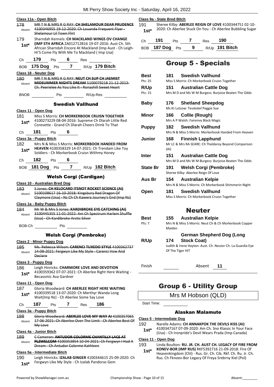|               | Class 11a - Open Bitch                  |                                                                                                       |   |                               |                                                                                                                                                              | ς |  |
|---------------|-----------------------------------------|-------------------------------------------------------------------------------------------------------|---|-------------------------------|--------------------------------------------------------------------------------------------------------------------------------------------------------------|---|--|
| 178<br>Absent | Shelamour Lil Town Flirt                |                                                                                                       |   |                               | MR T N & MRS R G RAY: CH SHELAMOUR DEAR PRUDENCE<br>4100346955 19-12-2020: Ch Louanda Frequent Flyer-                                                        |   |  |
| 179           |                                         | Sharndah Kennels: CH MACKLAND WINGS OV CHANGE<br>(IMP STH AFRICA ZA012712B16 19-07-2016: Aust Ch. Sth |   |                               |                                                                                                                                                              |   |  |
| 1st*          |                                         |                                                                                                       |   |                               | African Sharndah Encore At Mackland (Imp Aust - Ch Leigh-<br>Hi'S Come Fly With Me To Mackland (Imp Usa)                                                     |   |  |
| Ch            | 179 Pts 6 Res                           |                                                                                                       |   |                               |                                                                                                                                                              |   |  |
| BOB           |                                         |                                                                                                       |   |                               | 175 Dog $Pts$ 7 R/Up 179 Bitch                                                                                                                               |   |  |
|               | Class 18 - Neuter Dog                   |                                                                                                       |   |                               |                                                                                                                                                              |   |  |
| 180<br>Absent |                                         |                                                                                                       |   |                               | MR T N & MRS R G RAY: NEUT CH SUP CH JAEMIST<br><b>MIDSUMMER NIGHTS DREAM 5100079218 21-12-2013:</b><br>Ch. Peerielee As You Like It - Ronashill Sweet Heart |   |  |
| <b>BNOB</b>   |                                         | Pts                                                                                                   |   | R/Up-Res                      |                                                                                                                                                              |   |  |
|               |                                         |                                                                                                       |   | Swedish Vallhund              |                                                                                                                                                              |   |  |
|               | Class 11 - Open Dog                     |                                                                                                       |   |                               |                                                                                                                                                              |   |  |
| 181 -         |                                         |                                                                                                       |   |                               | Miss S Morris: <b>CH MORKERBOOK CRUISN TOGETHER</b>                                                                                                          |   |  |
| 1st*          |                                         |                                                                                                       |   |                               | 4100273229 08-04-2016: Supreme Ch Dlarah Little Red<br>Corevette - Grand Ch Dlarah Cheers Drink To That                                                      |   |  |
| Сh            | 181                                     | Pts                                                                                                   | 6 |                               |                                                                                                                                                              |   |  |
|               | Class 3a - Puppy Bitch                  |                                                                                                       |   |                               |                                                                                                                                                              |   |  |
| 182           |                                         |                                                                                                       |   |                               | Mrs N & Miss S Morris: MORKERBOOK HANDED FROM                                                                                                                |   |  |
| $1st^*$       |                                         |                                                                                                       |   |                               | HEAVEN 4100358329 14-07-2021: Ch Trendam Like Toy<br>Soldiers - Ch Morkerbook Cruisn Withmy Honey                                                            |   |  |
| Ch            | 182 $P$ ts                              |                                                                                                       | 6 |                               |                                                                                                                                                              |   |  |
|               |                                         |                                                                                                       |   |                               | BOB 181 Dog Pts 7 R/Up 182 Bitch                                                                                                                             |   |  |
|               |                                         |                                                                                                       |   | <b>Welsh Corgi (Cardigan)</b> |                                                                                                                                                              |   |  |
|               | <b>Class 10 - Australian Bred Dog</b>   |                                                                                                       |   |                               |                                                                                                                                                              |   |  |
| 183.          |                                         |                                                                                                       |   |                               | <b>S Jones: CH KELOCARD ITSNOT ROCKET SCIENCE (AI)</b><br>5100108617 16 10 2018: Kingsbury Red Dragon Of                                                     |   |  |
| Absent        |                                         |                                                                                                       |   |                               | Claymore (Usa) - Nz Ch Ch Kawera Journey's End (Imp Nz)                                                                                                      |   |  |
|               | Class 1a - Baby Puppy Bitch             |                                                                                                       |   |                               |                                                                                                                                                              |   |  |
| 184<br>Absent | (Usa) Ch Kardibroke Arctic Silver       |                                                                                                       |   |                               | Mr W & Mrs S Jones: KARDIBROKE EYE CATCHING (AI)<br>3100445355 11 01 2022: Am Ch Spectrum Harlem Shuffle                                                     |   |  |
| BOB-Ch        |                                         | Pts                                                                                                   |   |                               |                                                                                                                                                              |   |  |
|               |                                         |                                                                                                       |   | <b>Welsh Corgi (Pembroke)</b> |                                                                                                                                                              |   |  |
|               | <b>Class 2 - Minor Puppy Dog</b>        |                                                                                                       |   |                               |                                                                                                                                                              |   |  |
| 185           |                                         |                                                                                                       |   |                               | Ms. Rebecca Wilson: CARENCLTUXEDO STYLE 4100362737                                                                                                           |   |  |
| Absent        | <b>Declare</b>                          |                                                                                                       |   |                               | 14-08-2021: Fergwyn Like My Style - Carenci Vow And                                                                                                          |   |  |
|               | Class 3 - Puppy Dog                     |                                                                                                       |   |                               |                                                                                                                                                              |   |  |
| 186           |                                         |                                                                                                       |   |                               | Leigh Hinricks: CHARMORE LOVE AND DEVOTION                                                                                                                   |   |  |
| 1st*          | Becassmic Ava Gardner                   |                                                                                                       |   |                               | 4100359362 07-07-2021: Ch Aberlee Right Here Waiting -                                                                                                       |   |  |
|               | <u>Class 11 - Open Dog</u>              |                                                                                                       |   |                               |                                                                                                                                                              |   |  |
| 187           |                                         |                                                                                                       |   |                               | Gloria Woodward: CH ABERLEE RIGHT HERE WAITING                                                                                                               |   |  |
| 1st*          | Wait(Imp Nz) - Ch Aberlee Some Say Love |                                                                                                       |   |                               | 4100339518 13-07-2020: Ch Merthyr Wanda Long                                                                                                                 |   |  |
| Ch            | 187                                     | <b>Pts</b>                                                                                            |   | 7 Res 186                     |                                                                                                                                                              |   |  |
|               | <u> Class 3a - Puppy Bitch</u>          |                                                                                                       |   |                               |                                                                                                                                                              |   |  |
| 188<br>Absent | My Love                                 |                                                                                                       |   |                               | Gloria Woodward: ABERLEE LOVE MY WAY AL 4100357065<br>17-06-2021: Ch Aberlee Over The Limit - Ch Aberlee Best Of                                             | Ω |  |
|               | Class 4a - Junior Bitch                 |                                                                                                       |   |                               |                                                                                                                                                              |   |  |
| 189           |                                         |                                                                                                       |   |                               | C Cameron: ANTUDOR COLORME CHANTILLY LACE AT<br><b>PLZWELCOM</b> 4100353854 10-04-2021: Ch Fergwyn I Had A                                                   |   |  |
| Absent        | Dream - Ch Antudor Colorme Kathleen     |                                                                                                       |   |                               |                                                                                                                                                              |   |  |
|               | Class 5a - Intermediate Bitch           |                                                                                                       |   |                               |                                                                                                                                                              |   |  |

190 Leigh Hinricks: **IZALAB GINGER** 4100344615 25-09-2020: Ch Fergwyn Like My Style - Ch Izalab Pandoras Gem **1st\***

# **Class 9a - State Bred Bitch**

191 Sheree Kilby: **ABERLEE REIGN OF LOVE** 4100344751 02-10- 2020: Ch Aberlee Stuck On You - Ch Aberlee Bubbling Sugar **1st\***

| Ch <b>191</b>     | <b>Pts</b> | Res 190 |                |
|-------------------|------------|---------|----------------|
| BOB 187 Dog Pts 9 |            |         | R/Up 191 Bitch |

# Group 5 - Specials

| Best            | 181 —            | <b>Swedish Vallhund</b>                                                          |
|-----------------|------------------|----------------------------------------------------------------------------------|
| Pts: 25         |                  | Miss S Morris: Ch Morkerbook Cruisn Together                                     |
| R/Up            | 151              | <b>Australian Cattle Dog</b>                                                     |
| Pts: 15         |                  | Mrs M D and Ms W M Burgess: Burjoise Beaten The Odds                             |
| Baby            | 176 —            | <b>Shetland Sheepdog</b>                                                         |
|                 |                  | Ms KJ Lutzow: Tesskatel Peggie Sue                                               |
| Minor           |                  | 166 Collie (Rough)                                                               |
|                 |                  | Mrs A P Walsh: Fairenvy Black Magic                                              |
| <b>Puppy</b>    | 182              | <b>Swedish Vallhund</b>                                                          |
|                 |                  | Mrs N & Miss S Morris: Morkerbook Handed From Heaven                             |
| Junior          | 168              | Finnish Lapphund                                                                 |
|                 | (AI)             | Mr LC & Mrs RA SEARE: Ch Theldaroy Beyond Comparison                             |
| Inter           | 151              | <b>Australian Cattle Dog</b>                                                     |
|                 |                  | Mrs M D and Ms W M Burgess: Burjoise Beaten The Odds                             |
|                 |                  |                                                                                  |
| <b>State Br</b> | 191              | Welsh Corgi (Pembroke)<br>Sheree Kilby: Aberlee Reign Of Love                    |
| Aus Br          | 154              |                                                                                  |
|                 |                  | <b>Australian Kelpie</b><br>Mrs N & Miss S Morris: Ch Morkerbook Shimmerin Night |
|                 |                  |                                                                                  |
| Open            | 181              | <b>Swedish Vallhund</b>                                                          |
|                 |                  | Miss S Morris: Ch Morkerbook Cruisn Together                                     |
|                 |                  | <b>Neuter</b>                                                                    |
| <b>Best</b>     | 155              | <b>Australian Kelpie</b>                                                         |
| Pts: 7          |                  | Mrs N & Miss S Morris: Neut Ch & Ch Morkerbook Copper                            |
|                 | Maiden           |                                                                                  |
|                 |                  | <b>German Shepherd Dog (Long</b>                                                 |
| <b>R/Up</b>     | 174              | <b>Stock Coat)</b>                                                               |
|                 |                  | Judith & Irene Hayton: Aust. Ch. Neuter Ch. La Guardia Eye                       |
|                 | Of The Tiger HIT |                                                                                  |

Finish Absent **11**

# Group 6 - Utility Group

Mrs M Hobson (QLD)

Start Time:

# Alaskan Malamute

# **Class 5 - Intermediate Dog**

- 192 Narelle Adams: **CH ANNAKPOK THE DEVILS KISS (AI)**
- 4100347167 07-09-2020: Am Ch. Sno Klassic In Your Face (Usa) - Ch Ironpride's Devil Wears Prada (Imp Canada) **1st\***
- 

# **Class 11 - Open Dog**

# 193 Linda Boulton: **RU. JR. CH. AUST CH. LEGACY OF FIRE FROM**

**KONEV-BOR (IMP RUS)** RKF5392716 21-09-2018: Fire Of Heavenkingdom (Chl) - Rus. Gr. Ch. Cib. Rkf. Ch. Ru. Jr. Ch. Rus. Ch Fknoev-Bor Legacy Of Freya Srebrny Kiel (Pol) **1st\***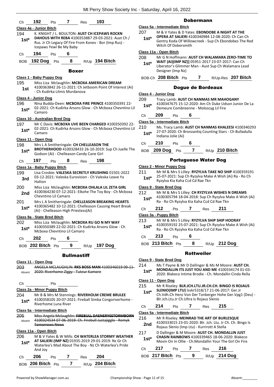|                | Class 4a - Junior Bitch                                                                          | Class 5a - Int        |              |
|----------------|--------------------------------------------------------------------------------------------------|-----------------------|--------------|
| 194            | K. KNIGHT / L. BOULTON: AUST CH ICEPAWS ROCKN                                                    | 207                   | M.           |
| $1st*$         | <b>DAHOUS WITH REBA 4100353887 29-03-2021: Aust Ch /</b>                                         | $1st*$                | ΟP<br>Ge     |
|                | Rus. Jr Ch Legacy Of Fire From Konev - Bor (Imp Rus) -                                           |                       | Wi           |
|                | Icepaws Yewl Be My Baby                                                                          | <u> Class 11a - C</u> |              |
| Ch             | 194<br>6<br>Pts                                                                                  | 208                   | Mr           |
| BOB            | 8<br><b>192 Dog</b><br>R/Up 194 Bitch<br>Pts                                                     | $1st^*$               | W۱           |
|                |                                                                                                  |                       | Lib          |
|                | <b>Boxer</b>                                                                                     |                       | De.          |
|                | Class 1 - Baby Puppy Dog                                                                         | BOB-Ch <sub>2</sub>   |              |
| 195            | Miss Liza Mclaughlin: MCBOXA AMERICAN DREAM                                                      |                       |              |
| 1st            | 4100363842 26-11-2021: Ch Jetboom Point Of Interest (Ai)<br>- Ch Kudirka Lilmis Murdanova        |                       |              |
|                | Class 4 - Junior Dog                                                                             | Class 4 - Jun         |              |
| 196            | Nina Budda-Deen: MCBOXA FIRE PRINCE 4100350391 22-                                               | 209                   | Tra<br>41    |
| 1st*           | 02-2021: Ch Kudirka Arsons Glow - Ch Mcboxa Chevntino Lil                                        | $1st*$                | De           |
|                | Camaro                                                                                           |                       | 20           |
|                | Class 10 - Australian Bred Dog                                                                   | Ch                    |              |
| 197            | Mr C Davis: MCBOXA UVE BEEN CHARGED 4100350392 22-                                               | Class 5a - Int        |              |
| $1st*$         | 02-2021: Ch Kudirka Arsons Glow - Ch Mcboxa Chevntino Lil                                        | 210                   | Ms<br>27.    |
|                | Camaro                                                                                           | $1st*$                | Ind          |
|                | Class 11 - Open Dog                                                                              | Ch                    | 21           |
| 198            | Mrs L A Smitheringale: CH CHELLEASON THE<br>BROTHERHOOD 4100328433 26-10-2019: Sup Ch Juelle The |                       | 209          |
| 1st*           | Godson (Ai) - Chelleason Candy Cane Girl                                                         | <b>BOB</b>            |              |
| Ch             | 197<br>198<br>8<br>Pts<br>Res                                                                    |                       |              |
|                |                                                                                                  | Class 2 - Min         |              |
| 199            | Class 1a - Baby Puppy Bitch<br>Lisa Crosbie: VALESKA SECRETLY KRUSHING 01501-2022                | 211                   | Mr           |
| 3rd            | 03-12-2021: Valeska Eurovision - Ch Valeska Leave Ya                                             | 1st*                  | 25-          |
|                | Hatton                                                                                           |                       | Ry.          |
| 200            | Miss Liza Mclaughlin: MCBOXA OHLALA LIL ZETA GIRL                                                | Class 9 - Stat        |              |
| 2nd            | 4100364230 07-12-2021: Elkohe The Toy Boy - Ch Mcboxa<br>Chevntino Lil Camaro                    | 212                   | Mr           |
| 201            | Mrs L A Smitheringale: CHELLEASON BREAKING HEARTS                                                | $1st*$                | 41<br>Ra     |
| $1st^*$        | 4100365482 10-12-2021: Chelleason Causing Heart Break                                            |                       |              |
|                | (Ai) - Chelleason High Priestess(Ai)                                                             | Сh                    | 212          |
|                | Class 9a - State Bred Bitch                                                                      | Class 3a - Pu         |              |
| 202            | Miss Liza Mclaughlin: MCBOXA RU GO N MY WAY                                                      | 213                   | Mr<br>41     |
| $1st*$         | 4100350389 22-02-2021: Ch Kudirka Arsons Glow - Ch<br>Mcboxa Chevntino Lil Camaro                | $1st*$                | Ra           |
|                |                                                                                                  | Ch                    | 21:          |
| Ch             | 202<br>6<br>Pts                                                                                  |                       |              |
|                | BOB 202 Bitch Pts<br>9<br>R/Up <b>197 Dog</b>                                                    | BOB 213               |              |
|                | <b>Bullmastiff</b>                                                                               |                       |              |
|                |                                                                                                  | Class 9 - Stat        |              |
| 203            | Class 11 - Open Dog<br>ANGELA MCLAUGHLIN: RKS BOSS MAN 4100346019 09 11                          | 214                   | Ms           |
| Absent         | 2020: Riverhome Ziggy - Tuteur Kamore                                                            | $1st*$                | M            |
|                |                                                                                                  |                       | 20.          |
| Ch             | Pts                                                                                              | <u>Class 11 - Op</u>  |              |
|                | Class 2a - Minor Puppy Bitch                                                                     | 215                   | Mr           |
| 204            | Mr B & Mrs M Stennings: RIVERHOLM CREME BRULEE                                                   | $1st^*$               | SLI<br>Ch.   |
| $1st^*$        | 4100358105 20-07-2021: Fireball Simba Congoriverhome -                                           |                       | Blr          |
|                | Riverhome Luna River                                                                             | Ch                    | 21،          |
|                | Class 5a - Intermediate Bitch                                                                    | Class 5a - Int        |              |
| 205            | Miss Angela Mclaughlin: FIREBULL DAENERYSSTORMBORN                                               | 216                   | Mr           |
| Absent         | 4100324534 07-06-2019: Ch. Firebull Justajigglo - Remyk<br><b>Tomorrows News</b>                 | 2nd                   | 41           |
|                |                                                                                                  |                       | Ro           |
|                | <u> Class 11a - Open Bitch</u><br>M & V Yates & W Mills: CH WATERLEA STORMY WEATHER              | 217                   | D [          |
| 206<br>$1st^*$ | AT SALIERI (IMP NZ) 01935-2019 29-01-2019: Nz Gr Ch                                              | $1st*$                | CН<br>Mo     |
|                | Waterlea's Mad About The Boy - Nz Ch Waterlea's Pride                                            |                       | $21^{\circ}$ |
|                |                                                                                                  | Сh                    |              |
|                | And Joy                                                                                          |                       |              |
|                | 206<br>7<br>204<br>Pts<br>Res                                                                    | <b>BOB 217</b>        |              |
| Ch             | 7<br>R/Up 204 Bitch<br>BOB 206 Bitch Pts                                                         |                       |              |

# Dobermann

# **Class 5a - Intermediate Bitch** 207 M & V Yates & D Yates: **EBONDOBE A NIGHT AT THE**

**OPERA AT SALIERI** 4100340984 12-08-2020: Ch Can Ch entry Koda Of Willowcreek - Sup Ch Ebondobes The Red itch Of Dobersmith

# **Class 11a - Open Bitch**

208 Mr G N Hoffmann: **AUST CH WALAMARA ZERO-TIME TO** 

```
WAIT (AI)(IMP NZ)] 05951-2017 23-07-2017: Can Ch 
erator's Glimmer Man - Aust Sup Ch Walamara Lead
esigner (Imp Nz)
```
BOB-Ch **208 Bitch** Pts **7** R/Up-Res **207 Bitch**

# Dogue de Bordeaux

# **Class 4 - Junior Dog**

- acy Lamb: **AUST CH NANMAS MR MAHOGANY** 4100347675 15-12-2020: Am Ch Duke Udson Junior De La **Emeure Combreenne - Moloscyg Lil Fire**
- Ch **209** Pts **6**

# **Class 5a - Intermediate Bitch**

2. Tracy Lamb: AUST CH NANMAS KHALEESI 4100340293 27-07-2020: Ch Bronzantiq Counting Stars - Ch Bulladulla **I**iana Jolie (Ai)

# Ch **210** Pts **6**

BOB **209 Dog** Pts **7** R/Up **210 Bitch**

# Portuguese Water Dog

**Class 2 - Minor Puppy Dog**

| 211    | Mr M & Mrs S Lilley: RYZYLVA TAKE NO SHIP 4100359191   |
|--------|--------------------------------------------------------|
| $1st*$ | 25-07-2021: Sup Ch Ryzylva Make A Wish (Ai) Ra - Ro Ch |
|        | Ryzylya Kia Kaha Ccd Cd Rae Tkn                        |

# **Class 9 - State Bred Dog**

# M & Mrs S Lilley: CH RYZYLVA WISHES N DREAMS

- 4100305794 18-04-2018: Sup Ch Ryzylva Make A Wish (Ai) - Ro Ch Ryzylva Kia Kaha Ccd Cd Rae Tkn
- Ch **212** Pts **7** Res **211**

# **Class 3a - Puppy Bitch**

**M & Mrs S Lilley: RYZYLVA SHIP SHIP HOORAY** 

- 00359192 25-07-2021: Sup Ch Ryzylva Make A Wish (Ai) Ra - Ro Ch Ryzylva Kia Kaha Ccd Cd Rae Tkn **1st\***
- Ch **213** Pts **6**
- **Bitch** Pts **8** R/Up 212 Dog

# Rottweiler

# **Class 9 - State Bred Dog**

T Payne & Mr D Dallinger & Ms M Moore: AUST CH. **MONDALLIN ITS JUST YOU AND ME** 4100334174 01-03- 20: Blakeco Intime Brodie - Ch. Mondallin Cinda Rella

# **Class 11 - Open Dog**

| 215<br>$1st*$                 | Mr R Riseley: BLR.JCH.LTU.JR.CH.CH. BINGO IS ROJAUS<br>SLENIO(IMP LTU) lsvkr5318/17 21-06-2017: Ger.Jr<br>Ch. Vdh. Ch Hero Von Der Tonberger Hohe Ger. Vpg1 (Deu) -<br>Blr.Jch.Ltu.Jr Ch.Ultra Is Rojaus Slenio |                                                                                                           |  |     |                                            |  |  |
|-------------------------------|-----------------------------------------------------------------------------------------------------------------------------------------------------------------------------------------------------------------|-----------------------------------------------------------------------------------------------------------|--|-----|--------------------------------------------|--|--|
| Ch                            | 214                                                                                                                                                                                                             | Pts                                                                                                       |  | Res | 215                                        |  |  |
| Class 5a - Intermediate Bitch |                                                                                                                                                                                                                 |                                                                                                           |  |     |                                            |  |  |
| 216                           |                                                                                                                                                                                                                 |                                                                                                           |  |     | Mr R Riseley: MEINRAD THE ART OF BURLESQUE |  |  |
| 2nd                           |                                                                                                                                                                                                                 | 4100333015 23-01-2020: Blr. Jch. Ltu. Jr Ch. Ch. Bingo Is<br>Rojaus Slenio (Imp Ltu) - Kurrirott A Stella |  |     |                                            |  |  |
| 217<br>$1st*$                 | D Dallinger & M Moore: AUST CH. MONDALLIN JUST<br><b>CHASIN RAINBOWS 4100339465 18-06-2020: Blakeco</b><br>Movin On In Ollie - Ch.Mondallin Your The Girl On Fire                                               |                                                                                                           |  |     |                                            |  |  |
|                               |                                                                                                                                                                                                                 | Pts                                                                                                       |  | Res |                                            |  |  |

| BOB 217 Bitch Pts |  | R/Up 214 Dog |
|-------------------|--|--------------|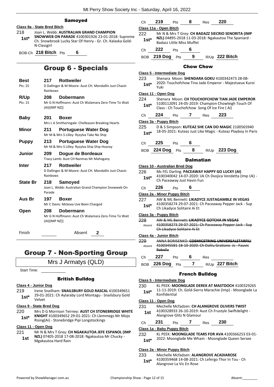# Samoyed

# **Class 9a - State Bred Bitch** 218 Joan L. Webb: **AUSTRALIAN GRAND CHAMPION**

**SNOWWEB ON PARADE** 4100301926 23-01-2018: Supreme Ch. Snowbrook Lucky Star Of Henry - Gr. Ch. Kalaska Gold-N-Classgirl **1st\***

BOB-Ch **218 Bitch** Pts **6**

# Group 6 - Specials

| <b>Best</b><br>Pts: 25 | 217<br>Rainhows     | <b>Rottweiler</b><br>D Dallinger & M Moore: Aust CH. Mondallin Just Chasin |
|------------------------|---------------------|----------------------------------------------------------------------------|
| <b>R/Up</b><br>Pts: 15 | 208<br>(AI)(IMP NZ) | Dobermann<br>Mr G N Hoffmann: Aust Ch Walamara Zero-Time To Wait           |
| <b>Baby</b>            | 201                 | Boxer<br>Mrs L A Smitheringale: Chelleason Breaking Hearts                 |
| Minor                  | 211                 | Portuguese Water Dog<br>Mr M & Mrs S Lilley: Ryzylva Take No Ship          |
| <b>Puppy</b>           | 213                 | Portuguese Water Dog<br>Mr M & Mrs S Lilley: Ryzylva Ship Ship Hooray      |
| Junior                 | 209                 | Dogue de Bordeaux<br>Tracy Lamb: Aust CH Nanmas Mr Mahogany                |
| Inter                  | 217<br>Rainhows     | <b>Rottweiler</b><br>D Dallinger & M Moore: Aust CH. Mondallin Just Chasin |
| <b>State Br</b>        | 218<br>Parade       | Samoved<br>Joan L. Webb: Australian Grand Champion Snowweb On              |
| Aus Br                 | 197                 | Boxer<br>Mr C Davis: Mcboxa Uve Been Charged                               |
| Open                   | 208<br>(AI)(IMP NZ) | Dobermann<br>Mr G N Hoffmann: Aust Ch Walamara Zero-Time To Wait           |

Finish Absent **2**

# Group 7 - Non-Sporting Group

Mrs J Armatys (QLD)

Start Time:

# British Bulldog

# **Class 4 - Junior Dog**

219 Irene Snailham: **SNAILSBURY GOLD RASCAL** 4100349651 29-01-2021: Ch Aylaraby Lord Montagu - Snailsbury Gold Velvet **1st\***

# **Class 9 - State Bred Dog**

220 Mrs D G Morrison Teirney: **AUST CH STONEBRIDGE WHITE KNIGHT** 4100349652 29-01-2021: Ch Llemmegs Mr Mojo **1st\* KNIGHT** 4100349652 29-01-2021: Ch Lleming Rising(Ai) - Stonebridge Pipi Longstockings

# **Class 11 - Open Dog**

221 Mr N & Mrs T Grey: **CH NGAKAUTOA JEFE ESPANOL (IMP NZL)** 07405-2018 17-08-2018: Ngakautoa Mr Chucky - Mgakautoa Hard Rain **1st**

| Ch      | 219                               | <b>Pts</b> | 8                         | <b>Res</b> | 220                                                  |                                                        |
|---------|-----------------------------------|------------|---------------------------|------------|------------------------------------------------------|--------------------------------------------------------|
|         | Class 11a - Open Bitch            |            |                           |            |                                                      |                                                        |
| 222     |                                   |            |                           |            | Mr N & Mrs T Grey: CH BADAZZ SIECRIO SENORITA (IMP   |                                                        |
| $1st*$  |                                   |            | Badazz Little Miss Muffet |            | NZL) 04895-2018 11-03-2018: Ngakautoa The Spaniard - |                                                        |
| Ch      | 222                               | Pts        | 6                         |            |                                                      |                                                        |
|         | <b>BOB</b> 219 Dog                | Pts        | 9                         |            | R/Up 222 Bitch                                       |                                                        |
|         |                                   |            | <b>Chow Chow</b>          |            |                                                      |                                                        |
|         | <b>Class 5 - Intermediate Dog</b> |            |                           |            |                                                      |                                                        |
| 223     |                                   |            |                           |            | Shenara Moon: SHENDARA GOKU 4100342473 28-08-        |                                                        |
| $1st^*$ | Yuki                              |            |                           |            |                                                      | 2020: Touchofchow Tina Jade Emperor - Majestueux Kuroi |

# **Class 11 - Open Dog**

| 224    | Shenara Moon: CH TOUCHOFCHOW TIAN JADE EMPEROR     |
|--------|----------------------------------------------------|
| $1st*$ | 5100112091 24-05-2019: Champion Chowleigh Touch Of |
|        | Class - Ch Touchofchow Song Of Ice Fire (Ai)       |

Ch **224** Pts **7** Res **223**

# **Class 3a - Puppy Bitch**

225 D & S Simpson: **KUTEAZ SHE CAN DO MAGIC** 2100565940 18-05-2021: Kuteaz Just Like Magic - Kuteaz Playboy In Paris **1st\***

# Ch **225** Pts **6**

BOB **224 Dog** Pts **8** R/Up **223 Dog**

# **Dalmatian**

|                                   | Class 10 - Australian Bred Dog                                                         |  |                             |  |                                                           |
|-----------------------------------|----------------------------------------------------------------------------------------|--|-----------------------------|--|-----------------------------------------------------------|
| 226.                              | Ms FEL Darling: PACEAWAY HAPPY GO LUCKY (AI)                                           |  |                             |  |                                                           |
| $1st^*$                           | 4100340042 14-07-2020: Uk Ch Dvojica Vendetta (Imp Uk) -<br>Ch Paceaway Just Havin Fun |  |                             |  |                                                           |
|                                   |                                                                                        |  |                             |  |                                                           |
| Ch                                | <b>226</b> Pts 6                                                                       |  |                             |  |                                                           |
|                                   | Class 2a - Minor Puppy Bitch                                                           |  |                             |  |                                                           |
|                                   |                                                                                        |  |                             |  | 227 AW & ML Bennett: LIKADYCE JUSTAGAMBLE IN VEGAS        |
| $1st^*$                           |                                                                                        |  | Ch Likadyce Solitaire Ai Et |  | 4100358274 29-07-2021: Ch Paceaway Pepper Jack - Sup      |
|                                   | Class 3a - Puppy Bitch                                                                 |  |                             |  |                                                           |
|                                   |                                                                                        |  |                             |  | 228 AW & ML Bennett: LIKADYCE GOTCHA IN VEGAS             |
|                                   |                                                                                        |  |                             |  | Absent 4100358273 29 07 2021: Ch Paceaway Pepper Jack Sup |
|                                   |                                                                                        |  | Ch Likadyce Solitaire Ai Et |  |                                                           |
|                                   | Class 4a - Junior Bitch                                                                |  |                             |  |                                                           |
| 229                               |                                                                                        |  |                             |  | ANNA BORISENKO: COSMICSTRING UNIVERSALSTAREILI            |
| Absent                            |                                                                                        |  |                             |  | 4100345581 18-10-2020: Ch Dalilu Gratiano Jc - Fauvic     |
|                                   | Rebella                                                                                |  |                             |  |                                                           |
|                                   |                                                                                        |  |                             |  | Ch 227 Pts 6 Res                                          |
|                                   |                                                                                        |  |                             |  | BOB 226 Dog Pts 7 R/Up 227 Bitch                          |
| <b>French Bulldog</b>             |                                                                                        |  |                             |  |                                                           |
| <b>Class 5 - Intermediate Dog</b> |                                                                                        |  |                             |  |                                                           |
| 230                               |                                                                                        |  |                             |  | KL PEEK: MOONGLADE DEREK AT MASTDOCH 4100329265           |
| $1$ st $*$                        | Konfidential                                                                           |  |                             |  | 11-11-2019: Ch. Gold-Sierra Marachie (Imp) - Moonglade La |
|                                   | Class 11 - Open Dog                                                                    |  |                             |  |                                                           |
|                                   |                                                                                        |  |                             |  |                                                           |

# 231 Mechelle Mcfadzen: **CH ALANGROVE OLIVERS TWIST**

- 4100328933 26-10-2019: Aust Ch Frustyle Swiftdelight Alangrove Glitz N Glamour **1st**
- Ch **231** Pts **7** Res **230**

# **Class 1a - Baby Puppy Bitch**

- 232 KL PEEK: **MOONGLADE TEARS FOR AVA** 4100366253 03-01-
	- 2022: Moonglade Me Wham Moonglade Queen Sersee **1st\***

# **Class 2a - Minor Puppy Bitch**

233 Mechelle Mcfadzen: **ALANGROVE ACADIAROSE** 4100359468 14-08-2021: Ch Lefergo Thor In Tou - Ch **1st**\* 4100359468 14-08-2021:<br>Alangrove La Vic En Rose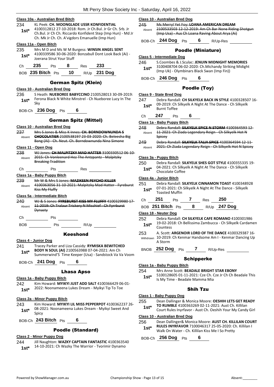# **Class 10a - Australian Bred Bitch**

# 234 KL Peek: **CH. MOONGLADE USSR KONFIDENTIAL**

4100312812 27-10-2018: Rom. Jr Ch.Bul. Jr Gr Ch. Srb. Jr Ch.Bul. Jr Ch Ch. Riccardo Konfident Step (Imp Hun) - Md Jr Ch. Mk Jr Ch. Ch. A'vigdors Emanuelle (Imp Hun) **1st\***

# **Class 11a - Open Bitch**

235 Mrs M D and Ms W M Burgess: **WINSIN ANGEL SENT** 4100339586 30-06-2020: Bonzabull Dont Look Back (Ai) - Joerana Strut Your Stuff **1st\***

|  |  | -- | 55. |
|--|--|----|-----|
|  |  |    |     |

BOB **235 Bitch** Pts **10** R/Up **231 Dog**

# German Spitz (Klein)

# **Class 10 - Australian Bred Dog**

- 236 S Heath: **NUEBOREE BABYCCINO** 2100528013 30-09-2019: Ferona Black N White Minstrel - Ch Nueboree Lucy In The **1st\*** Fer
- BOB-Ch **236 Dog** Pts **6**

# German Spitz (Mittel)

# **Class 10 - Australian Bred Dog**

237 Mrs S Jones & Miss K Innes: **CH. BORNDOWNUNDA S CHOCOLATIER** 2100538197 23-03-2020: Ch. Beleesha Big Bang (Ai) - Ch. Neut. Ch. Borndownunda Nina Simone Absent

# **Class 11 - Open Dog**

238 WJ Jones: **CH MALPITZKY MAD HATTER** 3100330512 06-10- 2015: Ch Vonleenard Hez The Antzpantz - Malpitzky Breaking Tradition Absent

# Ch Pts Res

**Class 1a - Baby Puppy Bitch**

239 Mr W & Mrs S Jones: **MAZIKEEN PSYCHO KILLER** 4100363056 31-10-2021: Malpitzky Mad Hatter - Fyreburst Kiss My Fluffy Absent

# **Class 5a - Intermediate Bitch**

| 240    | WJ & S Jones: FYREBURST KISS MY FLUFFY 4100329980 17-                  |
|--------|------------------------------------------------------------------------|
| Absent | 11 2019: Ch Tralaur Trickery N Mischief Ch Fyrrburst<br><b>Dynasty</b> |
| Ch.    | Pts                                                                    |

BOB Pts R/Up

# Keeshond

- **Class 4 - Junior Dog** 241 Tracey Parker and Liza Cassidy: **RYMISKA BEWITCHED BODY N SOUL (AI)** 2100563988 07-04-2021: Am Ch Summerwind'S Time Keeper (Usa) - Sandstock Va Va Voom **1st\***
- BOB-Ch **241 Dog** Pts **6**

# Lhasa Apso

# **Class 1a - Baby Puppy Bitch**

242 Kim Howard: **MYIKYI JUST ADD SALT** 4100366429 06-01- 1st\* 2022: Noonameena Lukes Dream - Myikyi Tip To Toe

# **Class 2a - Minor Puppy Bitch**

- 243 Kim Howard: **MYIKYI LIL MISS PEPPERPOT** 4100362237 26- 08-2021: Noonameena Lukes Dream - Myikyi Sweet And 1st<sup>\*</sup> Spicy
- BOB-Ch **243 Bitch** Pts **6**

# Poodle (Standard)

# **Class 2 - Minor Puppy Dog**

244 Jill Naughton: **WAZKY CAPTAIN FANTASTIC** 4100363540 14-10-2021: Ch Wazky The Warrior - Tvorimir Dynamo **1st\***

# **Class 10 - Australian Bred Dog**

245 Ms Merryl Yet Foy: **LOANA AMERICAN DREAM** 2100533503 12-12-2019: Am Ch Bar None Riding Shotgun (Imp Usa) - Aus Ch Loana Raving About Arya (Ai) Absent

BOB-Ch **244 Dog** Pts **6** R/Up-Res

Poodle (Miniature)

# **Class 5 - Intermediate Dog**

246 S.Coombes & J.Sculac: **JENUIN MIDNIGHT MEMORIES** 3100408704 06-02-2020: Ch.Michandy Striking Midight (Imp Uk) - Olymbinars Black Swan (Imp Fin)) **1st\***

# BOB-Ch **246 Dog** Pts **6**

# Poodle (Toy)

# **Class 9 - State Bred Dog**

- 247 Debra Randall: **CH SILKYELK BACK IN STYLE** 4100328507 16- 09-2019: Ch Silkyelk A Night At The Dance - Ch Silkyelk 1st<sup>\*</sup> 09-2019: Ch
- Ch **247** Pts **6**

# **Class 1a - Baby Puppy Bitch**

# 248 Debra Randall: **SILKYELK SPICE N STORM** 4100364593 12-

- 11-2021: Ch Ziada Legendary Reign Ch Silkyelk Hot N **Spicey** Absent
- 249 Debra Randall: **SILKYELK TALIA SPICE** 4100364594 12-11-
- Absent 2021: Ch Ziada Legendary Reign Ch Silkyelk Hot N Spicey

# **Class 3a - Puppy Bitch**

250 Debra Randall: **SILKYELK SHES GOT STYLE** 4100355335 19- 04-2021: Ch Silkyelk A Night At The Dance - Ch Silkyelk 1st<sup>\*</sup> U<sup>4-2021: Ch Silky</sup>

# **Class 4a - Junior Bitch**

| 251    | Debra Randall: SILKYELK CINNAMON TOAST 4100348928                         |
|--------|---------------------------------------------------------------------------|
| $1st*$ | 07-01-2021: Ch Silkyelk A Night At The Dance - Silkyelk<br>Toasted Muffin |

Ch **251** Pts **7** Res **250** BOB **251 Bitch** Pts **8** R/Up **247 Dog**

# **Class 18 - Neuter Dog**

| 252    | Debra Randall: CH SILKYELK CAFE ROMANO 4100301986         |
|--------|-----------------------------------------------------------|
| $1st*$ | 19-02-2018: Ch Bellissima Zambucca - Ch Silkyelk Cardamen |
|        | Countess                                                  |

253 A. Scott: **ARGENOIR LORD OF THE DANCE** 4100329387 16- 10-2019: Ch Kenmar Handsome Am I - Kenmar Dancing Up A Storm Withdrawn

BNOB **252 Dog** Pts **7** R/Up-Res

# Schipperke

# **Class 1a - Baby Puppy Bitch**

# 254 Mrs Anne Scott: **BEADALE BRIGHT STAR EBONY**

5100128605 01-11-2021: Cze Ch. Cze Jr Ch Ch Beadale This **1st** 3100128605 01-11-2021: Cze Cn. G<br>Is My Time - Beadale Mamma Mia

# Shih Tzu

# **Class 1 - Baby Puppy Dog**

- 255 Dean Dallinger & Monica Moore: **OESHIH LETS GET READY TO RUMBLE** 4100363269 02-11-2021: Aust Ch. Killilan
- Court Rules Inyrfavor Aust Ch. Oeshih Your My Candy Girl **1st\***

# **Class 10 - Australian Bred Dog**

256 Dean Dallinger& Monica Moore: **AUST CH. KILLILAN COURT RULES INYRFAVOR** 7100046317 25-05-2020: Ch. Killilan I Walk On Water - Ch. Killilan Kiss Me I So Pretty **1st\***

BOB-Ch **256 Dog** Pts **6**

- -
- 
-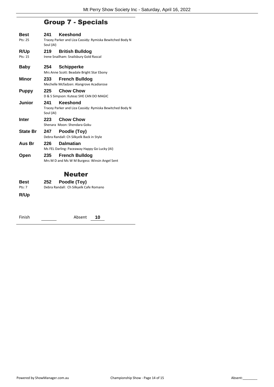# Group 7 - Specials

| Best            | 241       | Keeshond                                                 |
|-----------------|-----------|----------------------------------------------------------|
| Pts: 25         | Soul (AI) | Tracey Parker and Liza Cassidy: Rymiska Bewitched Body N |
| R/Up            | 219       | <b>British Bulldog</b>                                   |
| Pts: 15         |           | Irene Snailham: Snailsbury Gold Rascal                   |
| <b>Baby</b>     | 254       | <b>Schipperke</b>                                        |
|                 |           | Mrs Anne Scott: Beadale Bright Star Ebony                |
| Minor           | 233       | <b>French Bulldog</b>                                    |
|                 |           | Mechelle Mcfadzen: Alangrove Acadiarose                  |
| <b>Puppy</b>    | 225       | <b>Chow Chow</b>                                         |
|                 |           | D & S Simpson: Kuteaz SHE CAN DO MAGIC                   |
| Junior          | 241       | Keeshond                                                 |
|                 | Soul (AI) | Tracey Parker and Liza Cassidy: Rymiska Bewitched Body N |
| <b>Inter</b>    | 223       | <b>Chow Chow</b>                                         |
|                 |           |                                                          |
|                 |           | Shenara Moon: Shendara Goku                              |
| <b>State Br</b> | 247       | Poodle (Toy)                                             |
|                 |           | Debra Randall: Ch Silkyelk Back in Style                 |
| Aus Br          | 226       | <b>Dalmatian</b>                                         |
|                 |           | Ms FEL Darling: Paceaway Happy Go Lucky (AI)             |
| Open            | 235       | <b>French Bulldog</b>                                    |
|                 |           | Mrs M D and Ms W M Burgess: Winsin Angel Sent            |
|                 |           |                                                          |
|                 |           | <b>Neuter</b>                                            |
| <b>Best</b>     | 252       | Poodle (Toy)                                             |
| Pts: 7          |           | Debra Randall: Ch Silkyelk Cafe Romano                   |

| Finish | Absent | 10 |
|--------|--------|----|
|--------|--------|----|